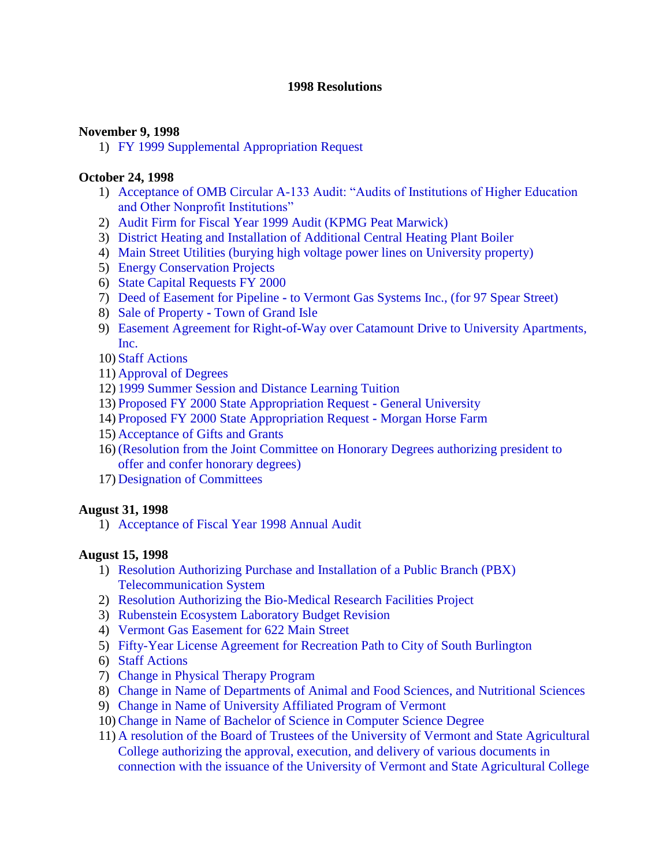#### **1998 Resolutions**

#### **November 9, 1998**

1) [FY 1999 Supplemental Appropriation Request](#page-2-0)

### **October 24, 1998**

- 1) [Acceptance of OMB Circular A-133 Audit: "Audits of Institutions of Higher Education](#page-3-0) and Other Nonprofit Institutions"
- 2) [Audit Firm for Fiscal Year 1999 Audit \(KPMG Peat Marwick\)](#page-3-0)
- 3) [District Heating and Installation of Additional Central Heating Plant Boiler](#page-3-0)
- 4) [Main Street Utilities \(burying high voltage power lines on University property\)](#page-4-0)
- 5) [Energy Conservation Projects](#page-5-0)
- 6) [State Capital Requests FY 2000](#page-5-0)
- 7) Deed of Easement for Pipeline **-** [to Vermont Gas Systems Inc., \(for 97 Spear Street\)](#page-5-0)
- 8) Sale of Property **-** [Town of Grand Isle](#page-5-0)
- 9) Easement Agreement for Right**-**of**-**[Way over Catamount Drive to University Apartments,](#page-6-0) Inc.
- 10) [Staff Actions](#page-7-0)
- 11) [Approval of Degrees](#page-7-0)
- 12) [1999 Summer Session and Distance Learning Tuition](#page-7-0)
- 13) [Proposed FY 2000 State Appropriation Request](#page-7-0) **-** General University
- 14) [Proposed FY 2000 State Appropriation Request](#page-7-0) **-** Morgan Horse Farm
- 15) [Acceptance of Gifts and Grants](#page-7-0)
- 16) [\(Resolution from the Joint Committee on Honorary Degrees authorizing president to](#page-8-0)  offer and confer honorary degrees)
- 17) [Designation of Committees](#page-8-0)

### **August 31, 1998**

1) [Acceptance of Fiscal Year 1998 Annual Audit](#page-9-0)

### **August 15, 1998**

- 1) [Resolution Authorizing Purchase and Installation of a Public Branch \(PBX\)](#page-10-0) Telecommunication System
- 2) [Resolution Authorizing the Bio-Medical Research Facilities Project](#page-10-0)
- 3) [Rubenstein Ecosystem Laboratory Budget Revision](#page-11-0)
- 4) [Vermont Gas Easement for 622 Main Street](#page-12-0)
- 5) [Fifty-Year License Agreement for Recreation Path to City of South Burlington](#page-12-0)
- 6) [Staff Actions](#page-13-0)
- 7) [Change in Physical Therapy Program](#page-13-0)
- 8) [Change in Name of Departments of Animal and Food Sciences, and Nutritional](#page-13-0) Sciences
- 9) [Change in Name of University Affiliated Program of Vermont](#page-13-0)
- 10)[Change in Name of Bachelor of Science in Computer Science Degree](#page-13-0)
- 11) A resolution of the Board of Trustees of the University of Vermont and State Agricultural [College authorizing the approval, execution, and delivery of various](#page-13-0) documents in connection with the issuance of the University of Vermont and State Agricultural College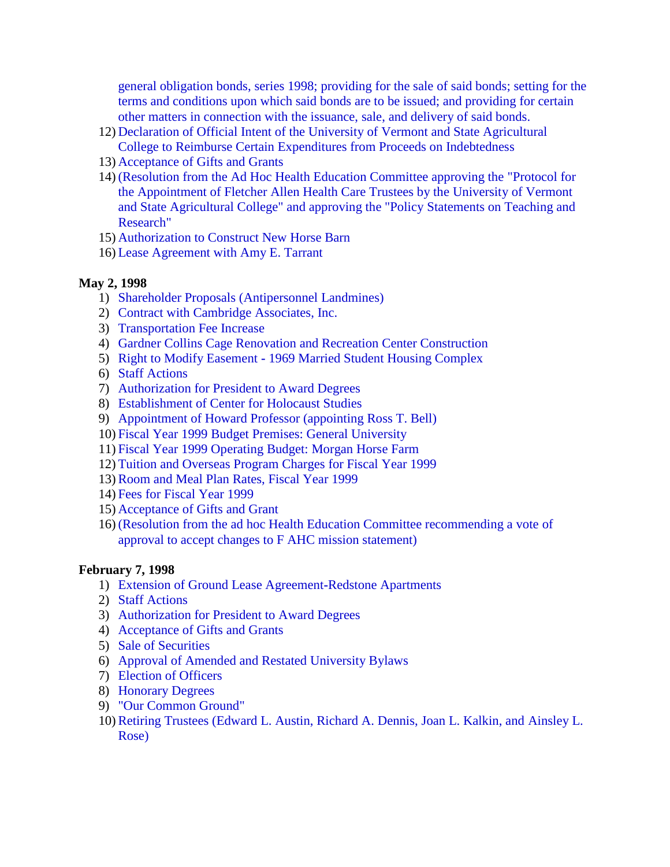[general obligation bonds, series 1998; providing for the sale](#page-13-0) of said bonds; setting for the terms and conditions upon which said bonds are to be issued; and providing for certain other matters in connection with the issuance, sale, and delivery of said bonds.

- 12) Declaration of Official Intent of the University of Vermont and State Agricultural [College to Reimburse Certain Expenditures from Proceeds on Indebtedness](#page-14-0)
- 13) [Acceptance of Gifts and Grants](#page-15-0)
- 14) [\(Resolution from the Ad Hoc Health Education Committee approving the](#page-15-0) "Protocol for the Appointment of Fletcher Allen Health Care Trustees by the University of Vermont and State Agricultural College" and approving the "Policy Statements on Teaching and Research"
- 15) [Authorization to Construct New Horse Barn](#page-15-0)
- 16) [Lease Agreement with Amy E. Tarrant](#page-15-0)

#### **May 2, 1998**

- 1) [Shareholder Proposals \(Antipersonnel](#page-23-0) Landmines)
- 2) [Contract with Cambridge Associates, Inc.](#page-23-0)
- 3) [Transportation Fee Increase](#page-23-0)
- 4) [Gardner Collins Cage Renovation and Recreation Center Construction](#page-23-0)
- 5) Right to Modify Easement **-** [1969 Married Student Housing Complex](#page-24-0)
- 6) [Staff Actions](#page-24-0)
- 7) [Authorization for President to Award Degrees](#page-24-0)
- 8) [Establishment of Center for Holocaust Studies](#page-25-0)
- 9) Appointment of [Howard Professor \(appointing Ross T. Bell\)](#page-25-0)
- 10) [Fiscal Year 1999 Budget Premises: General University](#page-25-0)
- 11) [Fiscal Year 1999 Operating Budget: Morgan Horse Farm](#page-25-0)
- 12) [Tuition and Overseas Program Charges for Fiscal Year 1999](#page-25-0)
- 13)[Room and Meal Plan Rates, Fiscal Year 1999](#page-25-0)
- 14) Fees for [Fiscal Year 1999](#page-26-0)
- 15) [Acceptance of Gifts and Grant](#page-26-0)
- 16) [\(Resolution from the ad hoc Health Education Committee recommending a vote](#page-26-0) of approval to accept changes to F AHC mission statement)

#### **February 7, 1998**

- 1) [Extension of Ground Lease Agreement](#page-28-0)**-**Redstone Apartments
- 2) [Staff Actions](#page-28-0)
- 3) [Authorization for President to Award Degrees](#page-29-0)
- 4) [Acceptance of Gifts and Grants](#page-29-0)
- 5) [Sale of Securities](#page-29-0)
- 6) [Approval of Amended and Restated](#page-29-0) University Bylaws
- 7) [Election of Officers](#page-30-0)
- 8) [Honorary Degrees](#page-30-0)
- 9) ["Our Common Ground"](#page-30-0)
- 10)[Retiring Trustees \(Edward L. Austin, Richard A. Dennis, Joan L. Kalkin, and](#page-31-0) Ainsley L. Rose)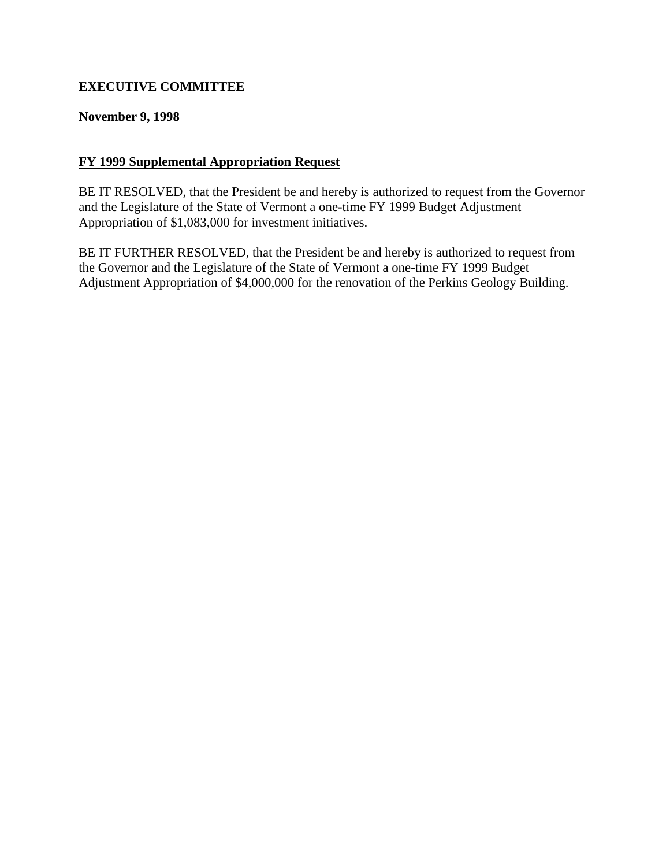# <span id="page-2-0"></span>**EXECUTIVE COMMITTEE**

#### **November 9, 1998**

#### **FY 1999 Supplemental Appropriation Request**

BE IT RESOLVED, that the President be and hereby is authorized to request from the Governor and the Legislature of the State of Vermont a one**-**time FY 1999 Budget Adjustment Appropriation of \$1,083,000 for investment initiatives.

BE IT FURTHER RESOLVED, that the President be and hereby is authorized to request from the Governor and the Legislature of the State of Vermont a one**-**time FY 1999 Budget Adjustment Appropriation of \$4,000,000 for the renovation of the Perkins Geology Building.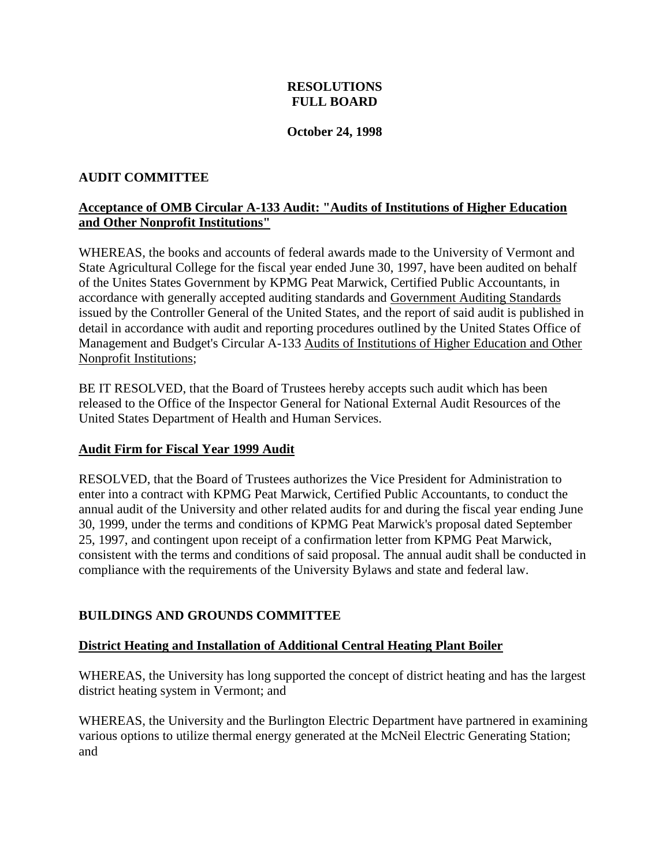### **RESOLUTIONS FULL BOARD**

#### **October 24, 1998**

### <span id="page-3-0"></span>**AUDIT COMMITTEE**

### **Acceptance of OMB Circular A-133 Audit: "Audits of Institutions of Higher Education and Other Nonprofit Institutions"**

WHEREAS, the books and accounts of federal awards made to the University of Vermont and State Agricultural College for the fiscal year ended June 30, 1997, have been audited on behalf of the Unites States Government by KPMG Peat Marwick, Certified Public Accountants, in accordance with generally accepted auditing standards and Government Auditing Standards issued by the Controller General of the United States, and the report of said audit is published in detail in accordance with audit and reporting procedures outlined by the United States Office of Management and Budget's Circular A-133 Audits of Institutions of Higher Education and Other Nonprofit Institutions;

BE IT RESOLVED, that the Board of Trustees hereby accepts such audit which has been released to the Office of the Inspector General for National External Audit Resources of the United States Department of Health and Human Services.

### **Audit Firm for Fiscal Year 1999 Audit**

RESOLVED, that the Board of Trustees authorizes the Vice President for Administration to enter into a contract with KPMG Peat Marwick, Certified Public Accountants, to conduct the annual audit of the University and other related audits for and during the fiscal year ending June 30, 1999, under the terms and conditions of KPMG Peat Marwick's proposal dated September 25, 1997, and contingent upon receipt of a confirmation letter from KPMG Peat Marwick, consistent with the terms and conditions of said proposal. The annual audit shall be conducted in compliance with the requirements of the University Bylaws and state and federal law.

### **BUILDINGS AND GROUNDS COMMITTEE**

#### **District Heating and Installation of Additional Central Heating Plant Boiler**

WHEREAS, the University has long supported the concept of district heating and has the largest district heating system in Vermont; and

WHEREAS, the University and the Burlington Electric Department have partnered in examining various options to utilize thermal energy generated at the McNeil Electric Generating Station; and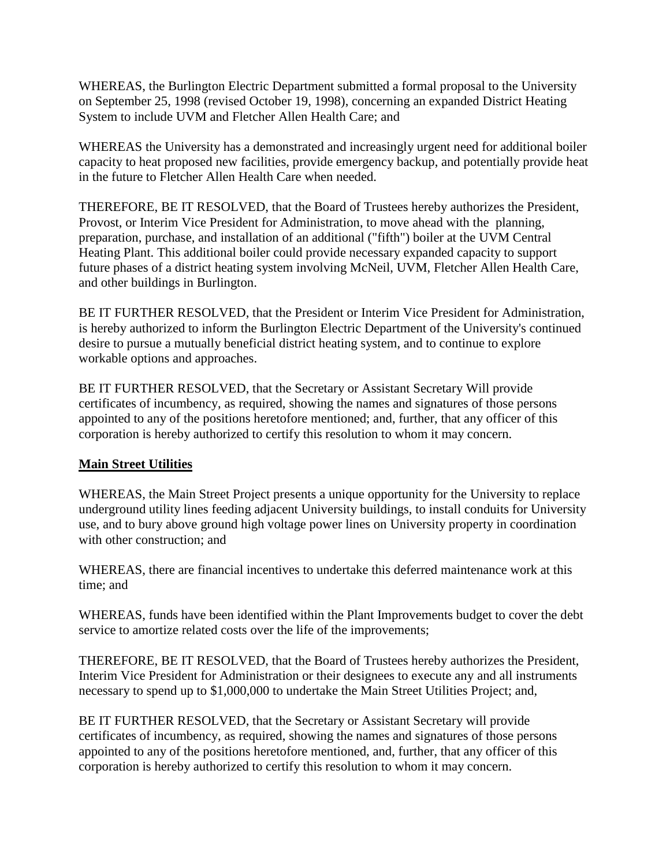<span id="page-4-0"></span>WHEREAS, the Burlington Electric Department submitted a formal proposal to the University on September 25, 1998 (revised October 19, 1998), concerning an expanded District Heating System to include UVM and Fletcher Allen Health Care; and

WHEREAS the University has a demonstrated and increasingly urgent need for additional boiler capacity to heat proposed new facilities, provide emergency backup, and potentially provide heat in the future to Fletcher Allen Health Care when needed.

THEREFORE, BE IT RESOLVED, that the Board of Trustees hereby authorizes the President, Provost, or Interim Vice President for Administration, to move ahead with the planning, preparation, purchase, and installation of an additional ("fifth") boiler at the UVM Central Heating Plant. This additional boiler could provide necessary expanded capacity to support future phases of a district heating system involving McNeil, UVM, Fletcher Allen Health Care, and other buildings in Burlington.

BE IT FURTHER RESOLVED, that the President or Interim Vice President for Administration, is hereby authorized to inform the Burlington Electric Department of the University's continued desire to pursue a mutually beneficial district heating system, and to continue to explore workable options and approaches.

BE IT FURTHER RESOLVED, that the Secretary or Assistant Secretary Will provide certificates of incumbency, as required, showing the names and signatures of those persons appointed to any of the positions heretofore mentioned; and, further, that any officer of this corporation is hereby authorized to certify this resolution to whom it may concern.

### **Main Street Utilities**

WHEREAS, the Main Street Project presents a unique opportunity for the University to replace underground utility lines feeding adjacent University buildings, to install conduits for University use, and to bury above ground high voltage power lines on University property in coordination with other construction; and

WHEREAS, there are financial incentives to undertake this deferred maintenance work at this time; and

WHEREAS, funds have been identified within the Plant Improvements budget to cover the debt service to amortize related costs over the life of the improvements;

THEREFORE, BE IT RESOLVED, that the Board of Trustees hereby authorizes the President, Interim Vice President for Administration or their designees to execute any and all instruments necessary to spend up to \$1,000,000 to undertake the Main Street Utilities Project; and,

BE IT FURTHER RESOLVED, that the Secretary or Assistant Secretary will provide certificates of incumbency, as required, showing the names and signatures of those persons appointed to any of the positions heretofore mentioned, and, further, that any officer of this corporation is hereby authorized to certify this resolution to whom it may concern.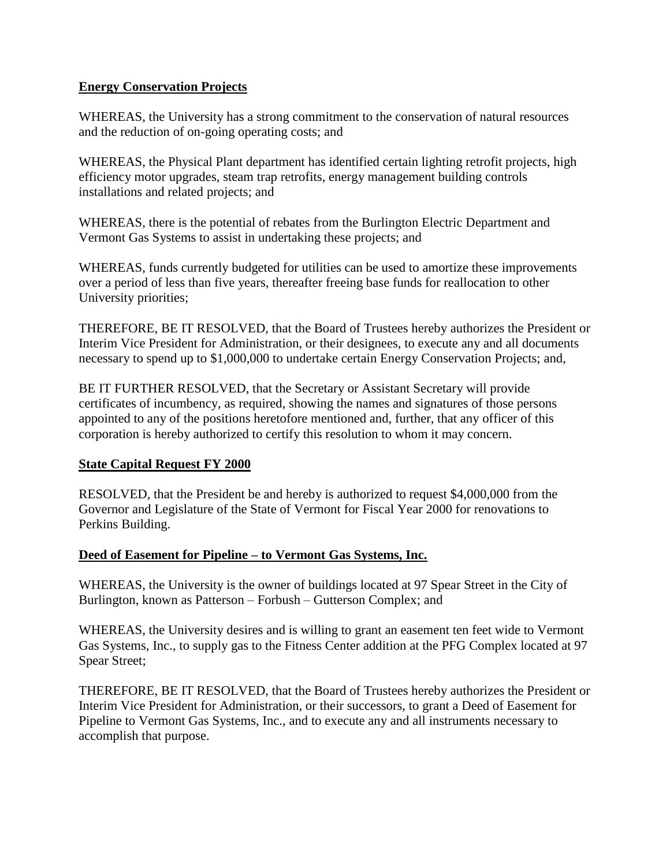#### <span id="page-5-0"></span>**Energy Conservation Projects**

WHEREAS, the University has a strong commitment to the conservation of natural resources and the reduction of on-going operating costs; and

WHEREAS, the Physical Plant department has identified certain lighting retrofit projects, high efficiency motor upgrades, steam trap retrofits, energy management building controls installations and related projects; and

WHEREAS, there is the potential of rebates from the Burlington Electric Department and Vermont Gas Systems to assist in undertaking these projects; and

WHEREAS, funds currently budgeted for utilities can be used to amortize these improvements over a period of less than five years, thereafter freeing base funds for reallocation to other University priorities;

THEREFORE, BE IT RESOLVED, that the Board of Trustees hereby authorizes the President or Interim Vice President for Administration, or their designees, to execute any and all documents necessary to spend up to \$1,000,000 to undertake certain Energy Conservation Projects; and,

BE IT FURTHER RESOLVED, that the Secretary or Assistant Secretary will provide certificates of incumbency, as required, showing the names and signatures of those persons appointed to any of the positions heretofore mentioned and, further, that any officer of this corporation is hereby authorized to certify this resolution to whom it may concern.

### **State Capital Request FY 2000**

RESOLVED, that the President be and hereby is authorized to request \$4,000,000 from the Governor and Legislature of the State of Vermont for Fiscal Year 2000 for renovations to Perkins Building.

### **Deed of Easement for Pipeline – to Vermont Gas Systems, Inc.**

WHEREAS, the University is the owner of buildings located at 97 Spear Street in the City of Burlington, known as Patterson – Forbush – Gutterson Complex; and

WHEREAS, the University desires and is willing to grant an easement ten feet wide to Vermont Gas Systems, Inc., to supply gas to the Fitness Center addition at the PFG Complex located at 97 Spear Street;

THEREFORE, BE IT RESOLVED, that the Board of Trustees hereby authorizes the President or Interim Vice President for Administration, or their successors, to grant a Deed of Easement for Pipeline to Vermont Gas Systems, Inc., and to execute any and all instruments necessary to accomplish that purpose.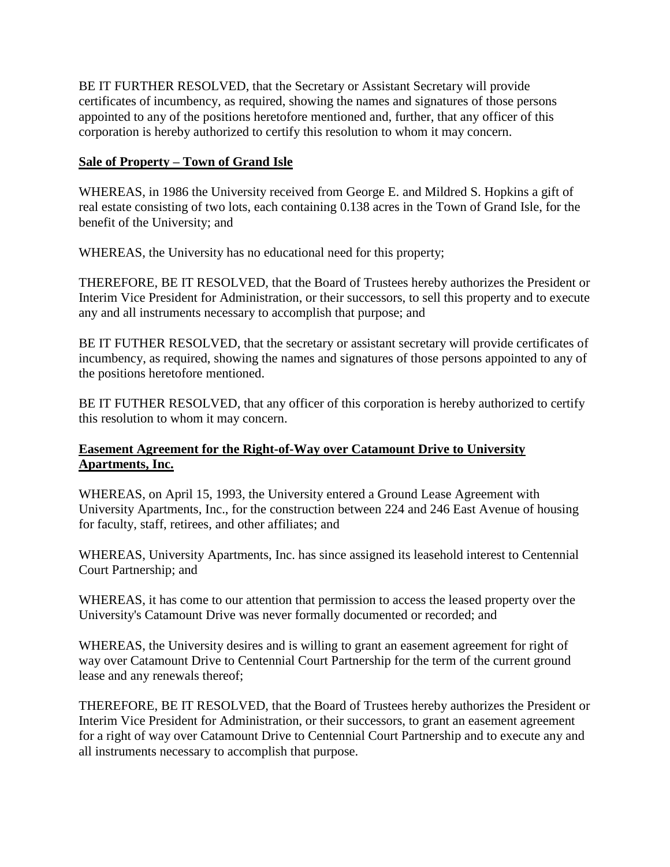<span id="page-6-0"></span>BE IT FURTHER RESOLVED, that the Secretary or Assistant Secretary will provide certificates of incumbency, as required, showing the names and signatures of those persons appointed to any of the positions heretofore mentioned and, further, that any officer of this corporation is hereby authorized to certify this resolution to whom it may concern.

### **Sale of Property – Town of Grand Isle**

WHEREAS, in 1986 the University received from George E. and Mildred S. Hopkins a gift of real estate consisting of two lots, each containing 0.138 acres in the Town of Grand Isle, for the benefit of the University; and

WHEREAS, the University has no educational need for this property;

THEREFORE, BE IT RESOLVED, that the Board of Trustees hereby authorizes the President or Interim Vice President for Administration, or their successors, to sell this property and to execute any and all instruments necessary to accomplish that purpose; and

BE IT FUTHER RESOLVED, that the secretary or assistant secretary will provide certificates of incumbency, as required, showing the names and signatures of those persons appointed to any of the positions heretofore mentioned.

BE IT FUTHER RESOLVED, that any officer of this corporation is hereby authorized to certify this resolution to whom it may concern.

# **Easement Agreement for the Right-of-Way over Catamount Drive to University Apartments, Inc.**

WHEREAS, on April 15, 1993, the University entered a Ground Lease Agreement with University Apartments, Inc., for the construction between 224 and 246 East Avenue of housing for faculty, staff, retirees, and other affiliates; and

WHEREAS, University Apartments, Inc. has since assigned its leasehold interest to Centennial Court Partnership; and

WHEREAS, it has come to our attention that permission to access the leased property over the University's Catamount Drive was never formally documented or recorded; and

WHEREAS, the University desires and is willing to grant an easement agreement for right of way over Catamount Drive to Centennial Court Partnership for the term of the current ground lease and any renewals thereof;

THEREFORE, BE IT RESOLVED, that the Board of Trustees hereby authorizes the President or Interim Vice President for Administration, or their successors, to grant an easement agreement for a right of way over Catamount Drive to Centennial Court Partnership and to execute any and all instruments necessary to accomplish that purpose.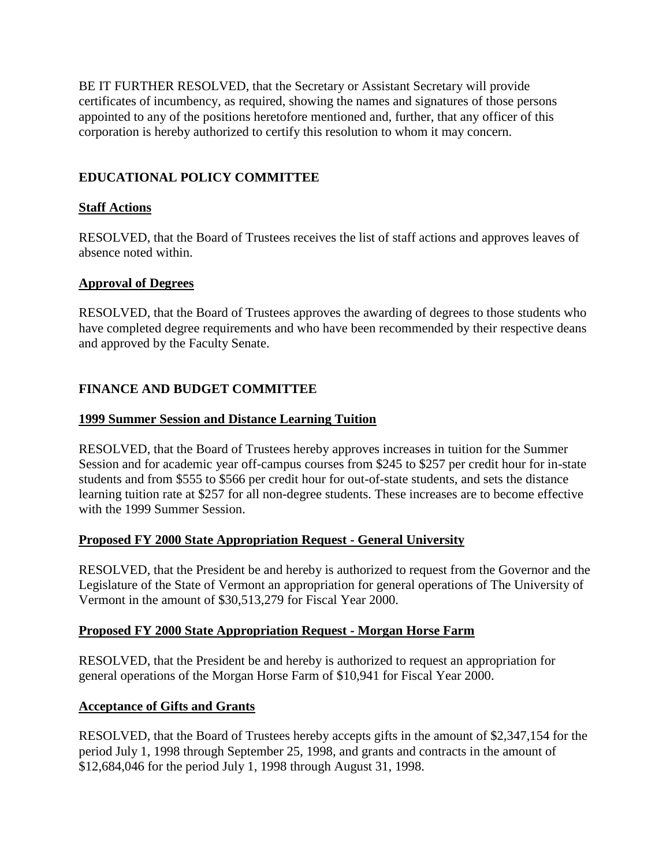<span id="page-7-0"></span>BE IT FURTHER RESOLVED, that the Secretary or Assistant Secretary will provide certificates of incumbency, as required, showing the names and signatures of those persons appointed to any of the positions heretofore mentioned and, further, that any officer of this corporation is hereby authorized to certify this resolution to whom it may concern.

# **EDUCATIONAL POLICY COMMITTEE**

# **Staff Actions**

RESOLVED, that the Board of Trustees receives the list of staff actions and approves leaves of absence noted within.

# **Approval of Degrees**

RESOLVED, that the Board of Trustees approves the awarding of degrees to those students who have completed degree requirements and who have been recommended by their respective deans and approved by the Faculty Senate.

# **FINANCE AND BUDGET COMMITTEE**

# **1999 Summer Session and Distance Learning Tuition**

RESOLVED, that the Board of Trustees hereby approves increases in tuition for the Summer Session and for academic year off-campus courses from \$245 to \$257 per credit hour for in-state students and from \$555 to \$566 per credit hour for out-of-state students, and sets the distance learning tuition rate at \$257 for all non-degree students. These increases are to become effective with the 1999 Summer Session.

### **Proposed FY 2000 State Appropriation Request - General University**

RESOLVED, that the President be and hereby is authorized to request from the Governor and the Legislature of the State of Vermont an appropriation for general operations of The University of Vermont in the amount of \$30,513,279 for Fiscal Year 2000.

### **Proposed FY 2000 State Appropriation Request - Morgan Horse Farm**

RESOLVED, that the President be and hereby is authorized to request an appropriation for general operations of the Morgan Horse Farm of \$10,941 for Fiscal Year 2000.

### **Acceptance of Gifts and Grants**

RESOLVED, that the Board of Trustees hereby accepts gifts in the amount of \$2,347,154 for the period July 1, 1998 through September 25, 1998, and grants and contracts in the amount of \$12,684,046 for the period July 1, 1998 through August 31, 1998.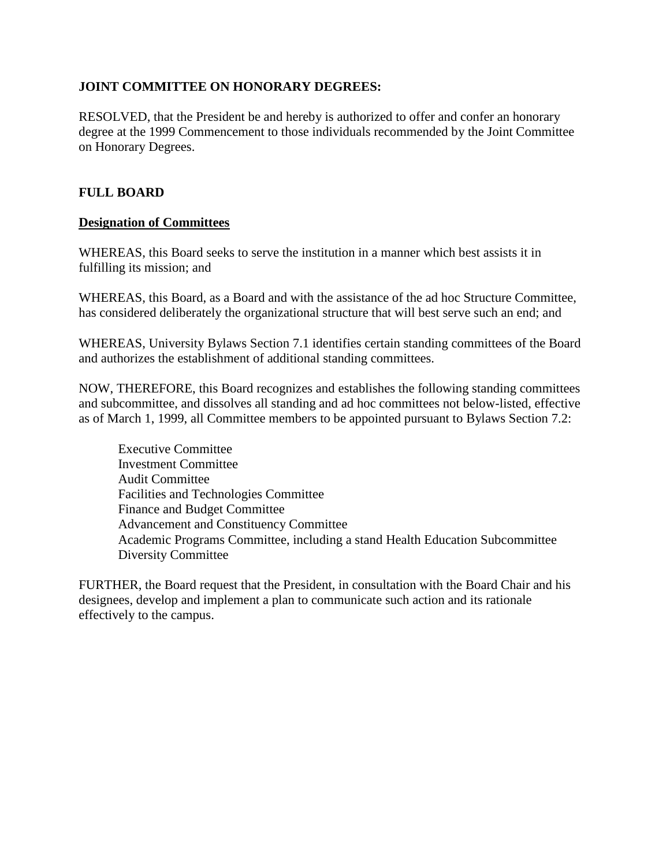### <span id="page-8-0"></span>**JOINT COMMITTEE ON HONORARY DEGREES:**

RESOLVED, that the President be and hereby is authorized to offer and confer an honorary degree at the 1999 Commencement to those individuals recommended by the Joint Committee on Honorary Degrees.

#### **FULL BOARD**

#### **Designation of Committees**

WHEREAS, this Board seeks to serve the institution in a manner which best assists it in fulfilling its mission; and

WHEREAS, this Board, as a Board and with the assistance of the ad hoc Structure Committee, has considered deliberately the organizational structure that will best serve such an end; and

WHEREAS, University Bylaws Section 7.1 identifies certain standing committees of the Board and authorizes the establishment of additional standing committees.

NOW, THEREFORE, this Board recognizes and establishes the following standing committees and subcommittee, and dissolves all standing and ad hoc committees not below-listed, effective as of March 1, 1999, all Committee members to be appointed pursuant to Bylaws Section 7.2:

Executive Committee Investment Committee Audit Committee Facilities and Technologies Committee Finance and Budget Committee Advancement and Constituency Committee Academic Programs Committee, including a stand Health Education Subcommittee Diversity Committee

FURTHER, the Board request that the President, in consultation with the Board Chair and his designees, develop and implement a plan to communicate such action and its rationale effectively to the campus.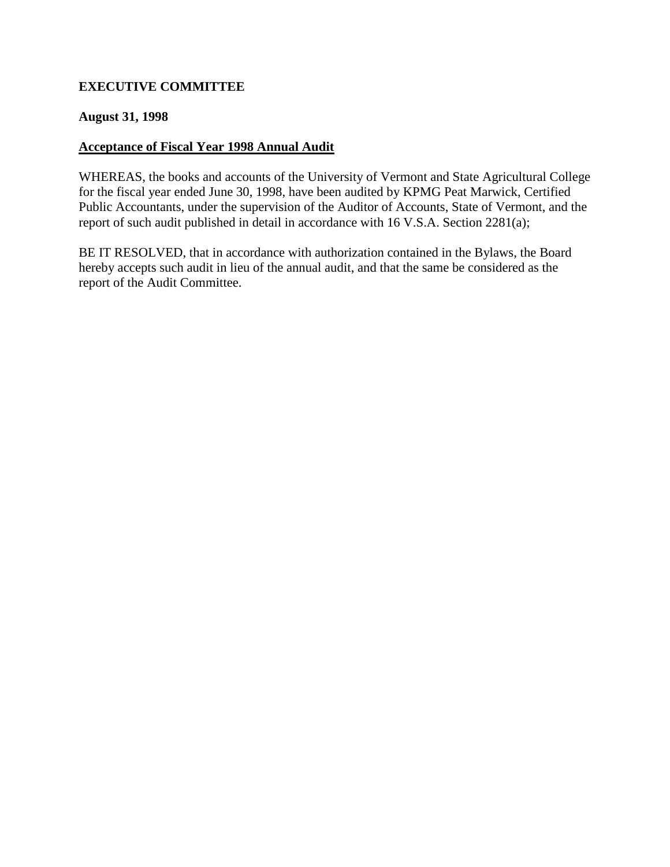# <span id="page-9-0"></span>**EXECUTIVE COMMITTEE**

#### **August 31, 1998**

#### **Acceptance of Fiscal Year 1998 Annual Audit**

WHEREAS, the books and accounts of the University of Vermont and State Agricultural College for the fiscal year ended June 30, 1998, have been audited by KPMG Peat Marwick, Certified Public Accountants, under the supervision of the Auditor of Accounts, State of Vermont, and the report of such audit published in detail in accordance with 16 V.S.A. Section 2281(a);

BE IT RESOLVED, that in accordance with authorization contained in the Bylaws, the Board hereby accepts such audit in lieu of the annual audit, and that the same be considered as the report of the Audit Committee.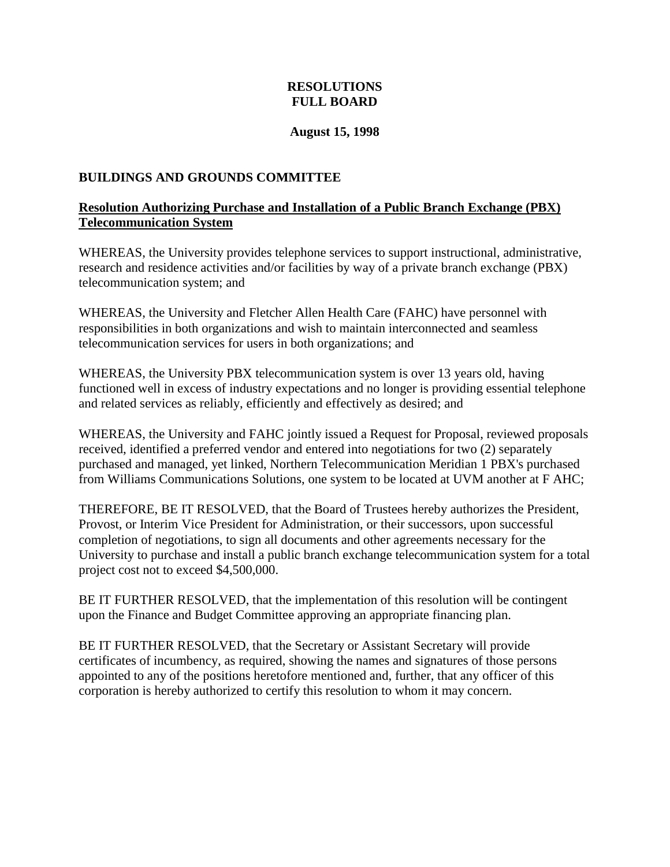### **RESOLUTIONS FULL BOARD**

#### **August 15, 1998**

#### <span id="page-10-0"></span>**BUILDINGS AND GROUNDS COMMITTEE**

#### **Resolution Authorizing Purchase and Installation of a Public Branch Exchange (PBX) Telecommunication System**

WHEREAS, the University provides telephone services to support instructional, administrative, research and residence activities and/or facilities by way of a private branch exchange (PBX) telecommunication system; and

WHEREAS, the University and Fletcher Allen Health Care (FAHC) have personnel with responsibilities in both organizations and wish to maintain interconnected and seamless telecommunication services for users in both organizations; and

WHEREAS, the University PBX telecommunication system is over 13 years old, having functioned well in excess of industry expectations and no longer is providing essential telephone and related services as reliably, efficiently and effectively as desired; and

WHEREAS, the University and FAHC jointly issued a Request for Proposal, reviewed proposals received, identified a preferred vendor and entered into negotiations for two (2) separately purchased and managed, yet linked, Northern Telecommunication Meridian 1 PBX's purchased from Williams Communications Solutions, one system to be located at UVM another at F AHC;

THEREFORE, BE IT RESOLVED, that the Board of Trustees hereby authorizes the President, Provost, or Interim Vice President for Administration, or their successors, upon successful completion of negotiations, to sign all documents and other agreements necessary for the University to purchase and install a public branch exchange telecommunication system for a total project cost not to exceed \$4,500,000.

BE IT FURTHER RESOLVED, that the implementation of this resolution will be contingent upon the Finance and Budget Committee approving an appropriate financing plan.

BE IT FURTHER RESOLVED, that the Secretary or Assistant Secretary will provide certificates of incumbency, as required, showing the names and signatures of those persons appointed to any of the positions heretofore mentioned and, further, that any officer of this corporation is hereby authorized to certify this resolution to whom it may concern.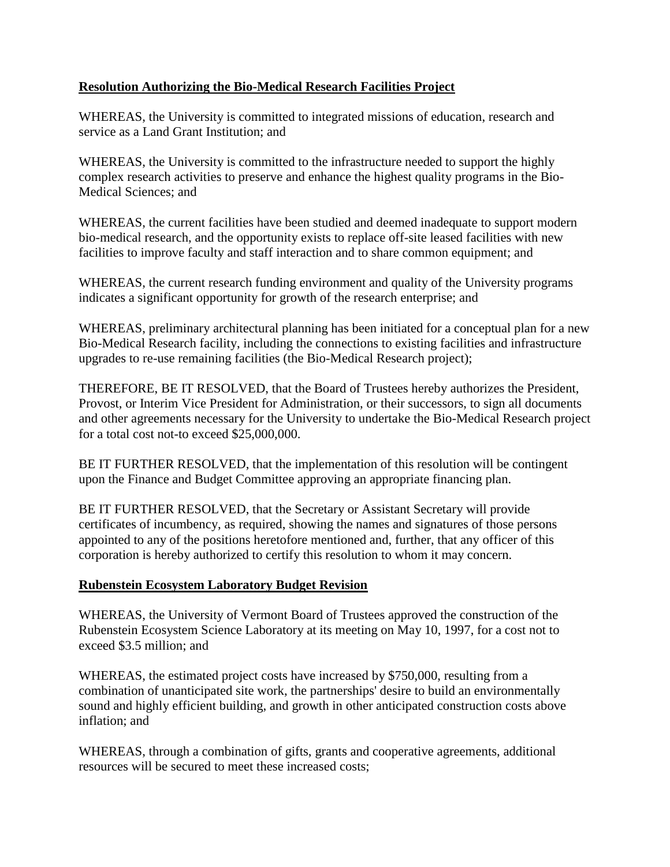# <span id="page-11-0"></span>**Resolution Authorizing the Bio-Medical Research Facilities Project**

WHEREAS, the University is committed to integrated missions of education, research and service as a Land Grant Institution; and

WHEREAS, the University is committed to the infrastructure needed to support the highly complex research activities to preserve and enhance the highest quality programs in the Bio-Medical Sciences; and

WHEREAS, the current facilities have been studied and deemed inadequate to support modern bio-medical research, and the opportunity exists to replace off-site leased facilities with new facilities to improve faculty and staff interaction and to share common equipment; and

WHEREAS, the current research funding environment and quality of the University programs indicates a significant opportunity for growth of the research enterprise; and

WHEREAS, preliminary architectural planning has been initiated for a conceptual plan for a new Bio-Medical Research facility, including the connections to existing facilities and infrastructure upgrades to re-use remaining facilities (the Bio-Medical Research project);

THEREFORE, BE IT RESOLVED, that the Board of Trustees hereby authorizes the President, Provost, or Interim Vice President for Administration, or their successors, to sign all documents and other agreements necessary for the University to undertake the Bio-Medical Research project for a total cost not-to exceed \$25,000,000.

BE IT FURTHER RESOLVED, that the implementation of this resolution will be contingent upon the Finance and Budget Committee approving an appropriate financing plan.

BE IT FURTHER RESOLVED, that the Secretary or Assistant Secretary will provide certificates of incumbency, as required, showing the names and signatures of those persons appointed to any of the positions heretofore mentioned and, further, that any officer of this corporation is hereby authorized to certify this resolution to whom it may concern.

### **Rubenstein Ecosystem Laboratory Budget Revision**

WHEREAS, the University of Vermont Board of Trustees approved the construction of the Rubenstein Ecosystem Science Laboratory at its meeting on May 10, 1997, for a cost not to exceed \$3.5 million; and

WHEREAS, the estimated project costs have increased by \$750,000, resulting from a combination of unanticipated site work, the partnerships' desire to build an environmentally sound and highly efficient building, and growth in other anticipated construction costs above inflation; and

WHEREAS, through a combination of gifts, grants and cooperative agreements, additional resources will be secured to meet these increased costs;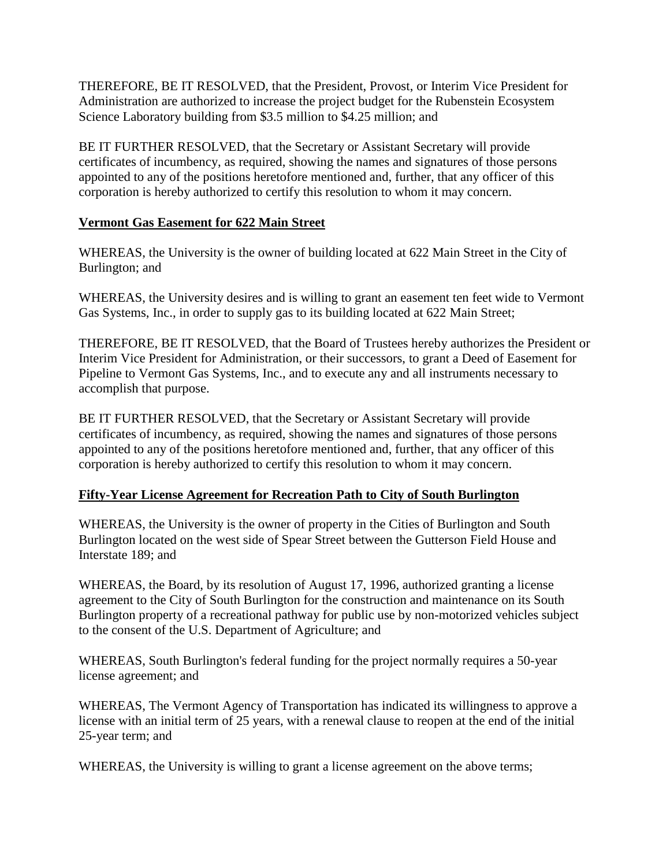<span id="page-12-0"></span>THEREFORE, BE IT RESOLVED, that the President, Provost, or Interim Vice President for Administration are authorized to increase the project budget for the Rubenstein Ecosystem Science Laboratory building from \$3.5 million to \$4.25 million; and

BE IT FURTHER RESOLVED, that the Secretary or Assistant Secretary will provide certificates of incumbency, as required, showing the names and signatures of those persons appointed to any of the positions heretofore mentioned and, further, that any officer of this corporation is hereby authorized to certify this resolution to whom it may concern.

### **Vermont Gas Easement for 622 Main Street**

WHEREAS, the University is the owner of building located at 622 Main Street in the City of Burlington; and

WHEREAS, the University desires and is willing to grant an easement ten feet wide to Vermont Gas Systems, Inc., in order to supply gas to its building located at 622 Main Street;

THEREFORE, BE IT RESOLVED, that the Board of Trustees hereby authorizes the President or Interim Vice President for Administration, or their successors, to grant a Deed of Easement for Pipeline to Vermont Gas Systems, Inc., and to execute any and all instruments necessary to accomplish that purpose.

BE IT FURTHER RESOLVED, that the Secretary or Assistant Secretary will provide certificates of incumbency, as required, showing the names and signatures of those persons appointed to any of the positions heretofore mentioned and, further, that any officer of this corporation is hereby authorized to certify this resolution to whom it may concern.

### **Fifty-Year License Agreement for Recreation Path to City of South Burlington**

WHEREAS, the University is the owner of property in the Cities of Burlington and South Burlington located on the west side of Spear Street between the Gutterson Field House and Interstate 189; and

WHEREAS, the Board, by its resolution of August 17, 1996, authorized granting a license agreement to the City of South Burlington for the construction and maintenance on its South Burlington property of a recreational pathway for public use by non-motorized vehicles subject to the consent of the U.S. Department of Agriculture; and

WHEREAS, South Burlington's federal funding for the project normally requires a 50-year license agreement; and

WHEREAS, The Vermont Agency of Transportation has indicated its willingness to approve a license with an initial term of 25 years, with a renewal clause to reopen at the end of the initial 25-year term; and

WHEREAS, the University is willing to grant a license agreement on the above terms;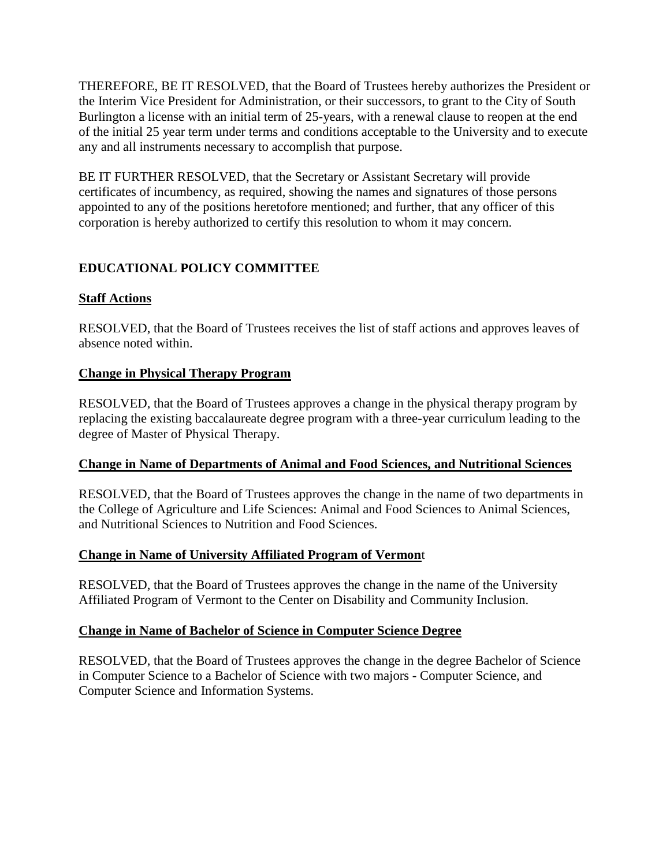<span id="page-13-0"></span>THEREFORE, BE IT RESOLVED, that the Board of Trustees hereby authorizes the President or the Interim Vice President for Administration, or their successors, to grant to the City of South Burlington a license with an initial term of 25-years, with a renewal clause to reopen at the end of the initial 25 year term under terms and conditions acceptable to the University and to execute any and all instruments necessary to accomplish that purpose.

BE IT FURTHER RESOLVED, that the Secretary or Assistant Secretary will provide certificates of incumbency, as required, showing the names and signatures of those persons appointed to any of the positions heretofore mentioned; and further, that any officer of this corporation is hereby authorized to certify this resolution to whom it may concern.

# **EDUCATIONAL POLICY COMMITTEE**

# **Staff Actions**

RESOLVED, that the Board of Trustees receives the list of staff actions and approves leaves of absence noted within.

# **Change in Physical Therapy Program**

RESOLVED, that the Board of Trustees approves a change in the physical therapy program by replacing the existing baccalaureate degree program with a three-year curriculum leading to the degree of Master of Physical Therapy.

### **Change in Name of Departments of Animal and Food Sciences, and Nutritional Sciences**

RESOLVED, that the Board of Trustees approves the change in the name of two departments in the College of Agriculture and Life Sciences: Animal and Food Sciences to Animal Sciences, and Nutritional Sciences to Nutrition and Food Sciences.

### **Change in Name of University Affiliated Program of Vermon**t

RESOLVED, that the Board of Trustees approves the change in the name of the University Affiliated Program of Vermont to the Center on Disability and Community Inclusion.

### **Change in Name of Bachelor of Science in Computer Science Degree**

RESOLVED, that the Board of Trustees approves the change in the degree Bachelor of Science in Computer Science to a Bachelor of Science with two majors - Computer Science, and Computer Science and Information Systems.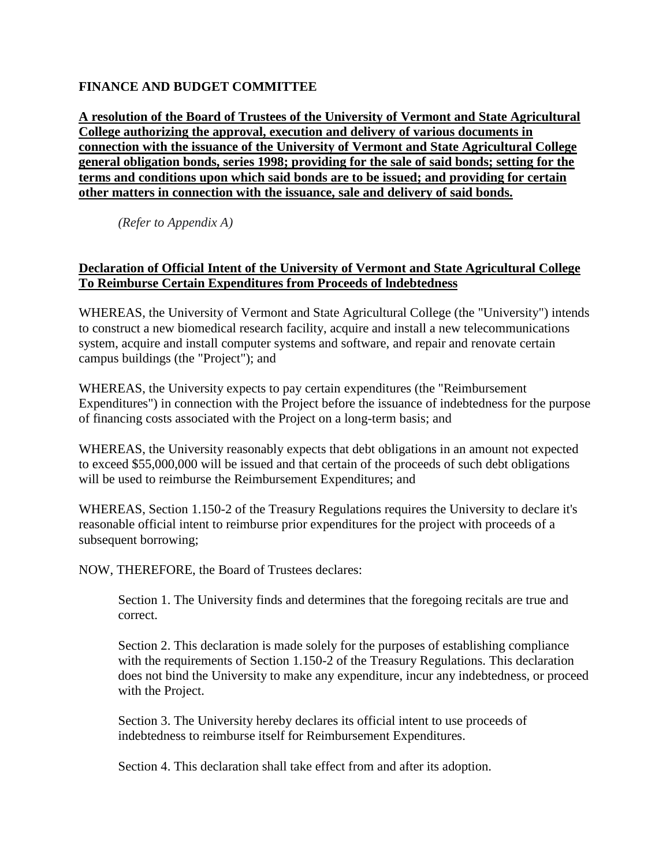# <span id="page-14-0"></span>**FINANCE AND BUDGET COMMITTEE**

**A resolution of the Board of Trustees of the University of Vermont and State Agricultural College authorizing the approval, execution and delivery of various documents in connection with the issuance of the University of Vermont and State Agricultural College general obligation bonds, series 1998; providing for the sale of said bonds; setting for the terms and conditions upon which said bonds are to be issued; and providing for certain other matters in connection with the issuance, sale and delivery of said bonds.**

*(Refer to Appendix A)*

### **Declaration of Official Intent of the University of Vermont and State Agricultural College To Reimburse Certain Expenditures from Proceeds of lndebtedness**

WHEREAS, the University of Vermont and State Agricultural College (the "University") intends to construct a new biomedical research facility, acquire and install a new telecommunications system, acquire and install computer systems and software, and repair and renovate certain campus buildings (the "Project"); and

WHEREAS, the University expects to pay certain expenditures (the "Reimbursement Expenditures") in connection with the Project before the issuance of indebtedness for the purpose of financing costs associated with the Project on a long-term basis; and

WHEREAS, the University reasonably expects that debt obligations in an amount not expected to exceed \$55,000,000 will be issued and that certain of the proceeds of such debt obligations will be used to reimburse the Reimbursement Expenditures; and

WHEREAS, Section 1.150-2 of the Treasury Regulations requires the University to declare it's reasonable official intent to reimburse prior expenditures for the project with proceeds of a subsequent borrowing;

NOW, THEREFORE, the Board of Trustees declares:

Section 1. The University finds and determines that the foregoing recitals are true and correct.

Section 2. This declaration is made solely for the purposes of establishing compliance with the requirements of Section 1.150-2 of the Treasury Regulations. This declaration does not bind the University to make any expenditure, incur any indebtedness, or proceed with the Project.

Section 3. The University hereby declares its official intent to use proceeds of indebtedness to reimburse itself for Reimbursement Expenditures.

Section 4. This declaration shall take effect from and after its adoption.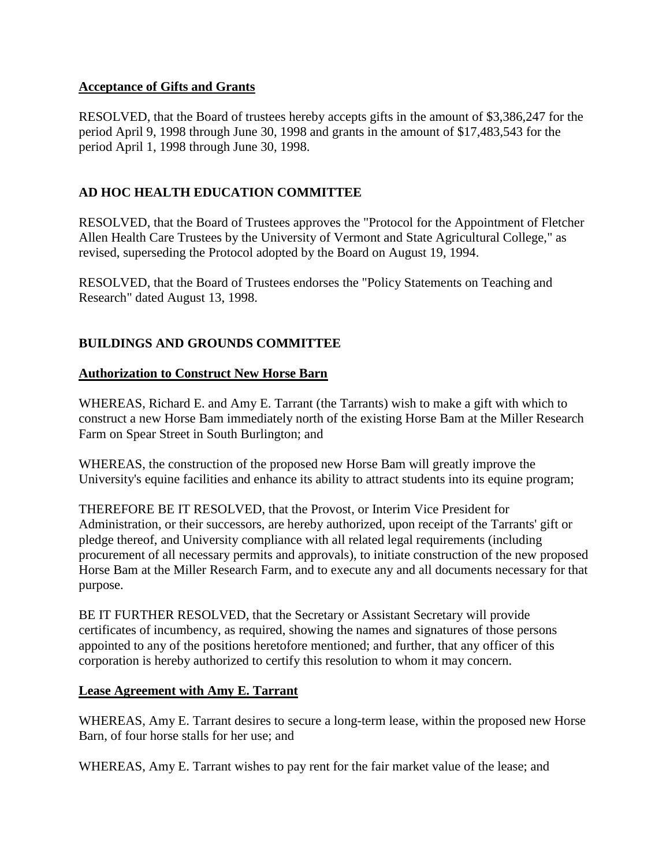#### <span id="page-15-0"></span>**Acceptance of Gifts and Grants**

RESOLVED, that the Board of trustees hereby accepts gifts in the amount of \$3,386,247 for the period April 9, 1998 through June 30, 1998 and grants in the amount of \$17,483,543 for the period April 1, 1998 through June 30, 1998.

# **AD HOC HEALTH EDUCATION COMMITTEE**

RESOLVED, that the Board of Trustees approves the "Protocol for the Appointment of Fletcher Allen Health Care Trustees by the University of Vermont and State Agricultural College," as revised, superseding the Protocol adopted by the Board on August 19, 1994.

RESOLVED, that the Board of Trustees endorses the "Policy Statements on Teaching and Research" dated August 13, 1998.

# **BUILDINGS AND GROUNDS COMMITTEE**

#### **Authorization to Construct New Horse Barn**

WHEREAS, Richard E. and Amy E. Tarrant (the Tarrants) wish to make a gift with which to construct a new Horse Bam immediately north of the existing Horse Bam at the Miller Research Farm on Spear Street in South Burlington; and

WHEREAS, the construction of the proposed new Horse Bam will greatly improve the University's equine facilities and enhance its ability to attract students into its equine program;

THEREFORE BE IT RESOLVED, that the Provost, or Interim Vice President for Administration, or their successors, are hereby authorized, upon receipt of the Tarrants' gift or pledge thereof, and University compliance with all related legal requirements (including procurement of all necessary permits and approvals), to initiate construction of the new proposed Horse Bam at the Miller Research Farm, and to execute any and all documents necessary for that purpose.

BE IT FURTHER RESOLVED, that the Secretary or Assistant Secretary will provide certificates of incumbency, as required, showing the names and signatures of those persons appointed to any of the positions heretofore mentioned; and further, that any officer of this corporation is hereby authorized to certify this resolution to whom it may concern.

#### **Lease Agreement with Amy E. Tarrant**

WHEREAS, Amy E. Tarrant desires to secure a long-term lease, within the proposed new Horse Barn, of four horse stalls for her use; and

WHEREAS, Amy E. Tarrant wishes to pay rent for the fair market value of the lease; and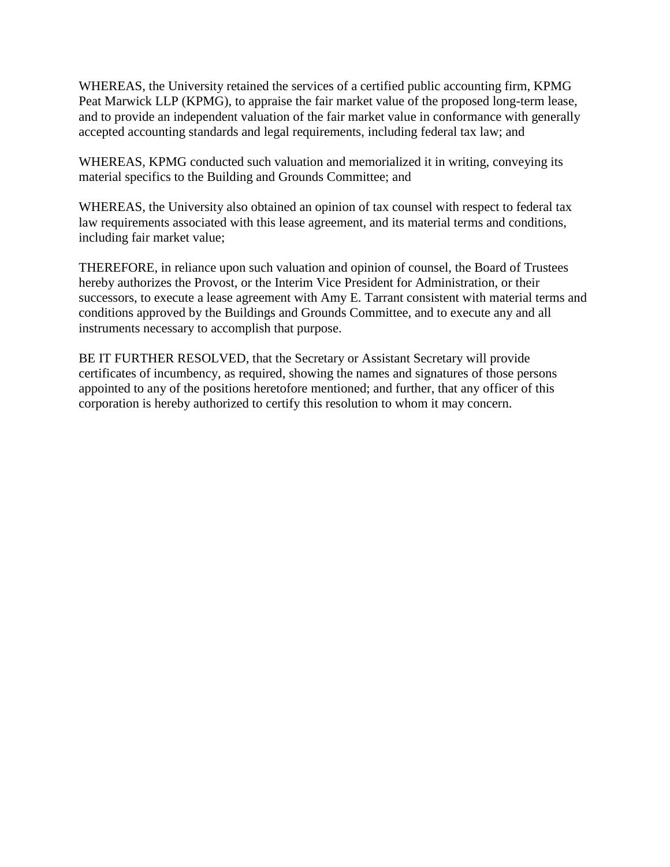WHEREAS, the University retained the services of a certified public accounting firm, KPMG Peat Marwick LLP (KPMG), to appraise the fair market value of the proposed long-term lease, and to provide an independent valuation of the fair market value in conformance with generally accepted accounting standards and legal requirements, including federal tax law; and

WHEREAS, KPMG conducted such valuation and memorialized it in writing, conveying its material specifics to the Building and Grounds Committee; and

WHEREAS, the University also obtained an opinion of tax counsel with respect to federal tax law requirements associated with this lease agreement, and its material terms and conditions, including fair market value;

THEREFORE, in reliance upon such valuation and opinion of counsel, the Board of Trustees hereby authorizes the Provost, or the Interim Vice President for Administration, or their successors, to execute a lease agreement with Amy E. Tarrant consistent with material terms and conditions approved by the Buildings and Grounds Committee, and to execute any and all instruments necessary to accomplish that purpose.

BE IT FURTHER RESOLVED, that the Secretary or Assistant Secretary will provide certificates of incumbency, as required, showing the names and signatures of those persons appointed to any of the positions heretofore mentioned; and further, that any officer of this corporation is hereby authorized to certify this resolution to whom it may concern.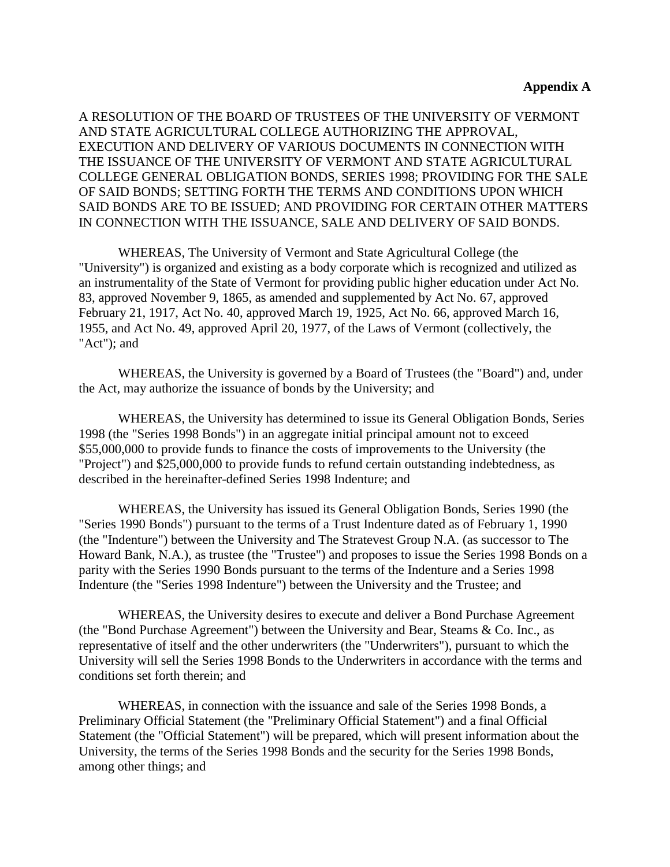A RESOLUTION OF THE BOARD OF TRUSTEES OF THE UNIVERSITY OF VERMONT AND STATE AGRICULTURAL COLLEGE AUTHORIZING THE APPROVAL, EXECUTION AND DELIVERY OF VARIOUS DOCUMENTS IN CONNECTION WITH THE ISSUANCE OF THE UNIVERSITY OF VERMONT AND STATE AGRICULTURAL COLLEGE GENERAL OBLIGATION BONDS, SERIES 1998; PROVIDING FOR THE SALE OF SAID BONDS; SETTING FORTH THE TERMS AND CONDITIONS UPON WHICH SAID BONDS ARE TO BE ISSUED; AND PROVIDING FOR CERTAIN OTHER MATTERS IN CONNECTION WITH THE ISSUANCE, SALE AND DELIVERY OF SAID BONDS.

WHEREAS, The University of Vermont and State Agricultural College (the "University") is organized and existing as a body corporate which is recognized and utilized as an instrumentality of the State of Vermont for providing public higher education under Act No. 83, approved November 9, 1865, as amended and supplemented by Act No. 67, approved February 21, 1917, Act No. 40, approved March 19, 1925, Act No. 66, approved March 16, 1955, and Act No. 49, approved April 20, 1977, of the Laws of Vermont (collectively, the "Act"); and

WHEREAS, the University is governed by a Board of Trustees (the "Board") and, under the Act, may authorize the issuance of bonds by the University; and

WHEREAS, the University has determined to issue its General Obligation Bonds, Series 1998 (the "Series 1998 Bonds") in an aggregate initial principal amount not to exceed \$55,000,000 to provide funds to finance the costs of improvements to the University (the "Project") and \$25,000,000 to provide funds to refund certain outstanding indebtedness, as described in the hereinafter-defined Series 1998 Indenture; and

WHEREAS, the University has issued its General Obligation Bonds, Series 1990 (the "Series 1990 Bonds") pursuant to the terms of a Trust Indenture dated as of February 1, 1990 (the "Indenture") between the University and The Stratevest Group N.A. (as successor to The Howard Bank, N.A.), as trustee (the "Trustee") and proposes to issue the Series 1998 Bonds on a parity with the Series 1990 Bonds pursuant to the terms of the Indenture and a Series 1998 Indenture (the "Series 1998 Indenture") between the University and the Trustee; and

WHEREAS, the University desires to execute and deliver a Bond Purchase Agreement (the "Bond Purchase Agreement") between the University and Bear, Steams & Co. Inc., as representative of itself and the other underwriters (the "Underwriters"), pursuant to which the University will sell the Series 1998 Bonds to the Underwriters in accordance with the terms and conditions set forth therein; and

WHEREAS, in connection with the issuance and sale of the Series 1998 Bonds, a Preliminary Official Statement (the "Preliminary Official Statement") and a final Official Statement (the "Official Statement") will be prepared, which will present information about the University, the terms of the Series 1998 Bonds and the security for the Series 1998 Bonds, among other things; and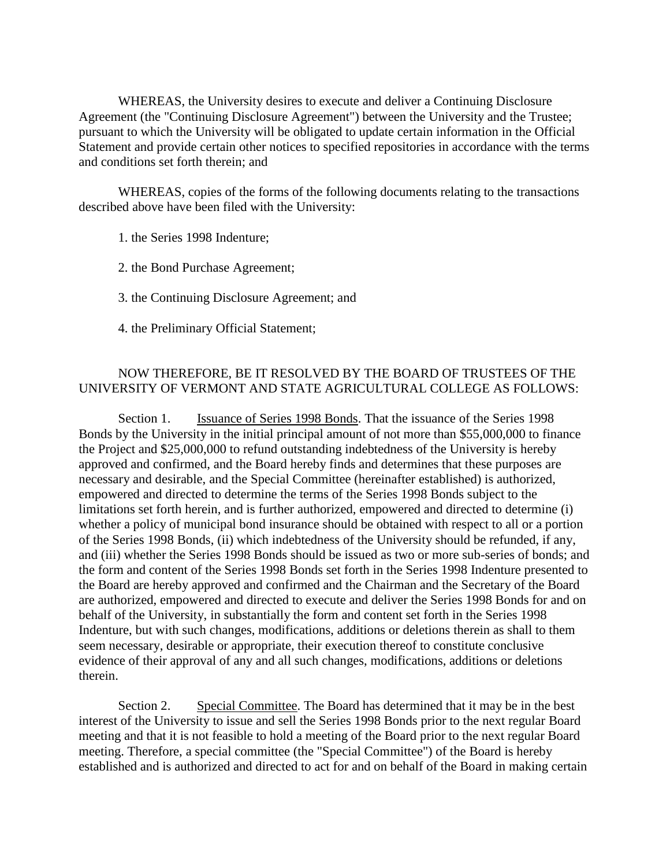WHEREAS, the University desires to execute and deliver a Continuing Disclosure Agreement (the "Continuing Disclosure Agreement") between the University and the Trustee; pursuant to which the University will be obligated to update certain information in the Official Statement and provide certain other notices to specified repositories in accordance with the terms and conditions set forth therein; and

WHEREAS, copies of the forms of the following documents relating to the transactions described above have been filed with the University:

1. the Series 1998 Indenture;

2. the Bond Purchase Agreement;

3. the Continuing Disclosure Agreement; and

4. the Preliminary Official Statement;

#### NOW THEREFORE, BE IT RESOLVED BY THE BOARD OF TRUSTEES OF THE UNIVERSITY OF VERMONT AND STATE AGRICULTURAL COLLEGE AS FOLLOWS:

Section 1. **Issuance of Series 1998 Bonds**. That the issuance of the Series 1998 Bonds by the University in the initial principal amount of not more than \$55,000,000 to finance the Project and \$25,000,000 to refund outstanding indebtedness of the University is hereby approved and confirmed, and the Board hereby finds and determines that these purposes are necessary and desirable, and the Special Committee (hereinafter established) is authorized, empowered and directed to determine the terms of the Series 1998 Bonds subject to the limitations set forth herein, and is further authorized, empowered and directed to determine (i) whether a policy of municipal bond insurance should be obtained with respect to all or a portion of the Series 1998 Bonds, (ii) which indebtedness of the University should be refunded, if any, and (iii) whether the Series 1998 Bonds should be issued as two or more sub-series of bonds; and the form and content of the Series 1998 Bonds set forth in the Series 1998 Indenture presented to the Board are hereby approved and confirmed and the Chairman and the Secretary of the Board are authorized, empowered and directed to execute and deliver the Series 1998 Bonds for and on behalf of the University, in substantially the form and content set forth in the Series 1998 Indenture, but with such changes, modifications, additions or deletions therein as shall to them seem necessary, desirable or appropriate, their execution thereof to constitute conclusive evidence of their approval of any and all such changes, modifications, additions or deletions therein.

Section 2. Special Committee. The Board has determined that it may be in the best interest of the University to issue and sell the Series 1998 Bonds prior to the next regular Board meeting and that it is not feasible to hold a meeting of the Board prior to the next regular Board meeting. Therefore, a special committee (the "Special Committee") of the Board is hereby established and is authorized and directed to act for and on behalf of the Board in making certain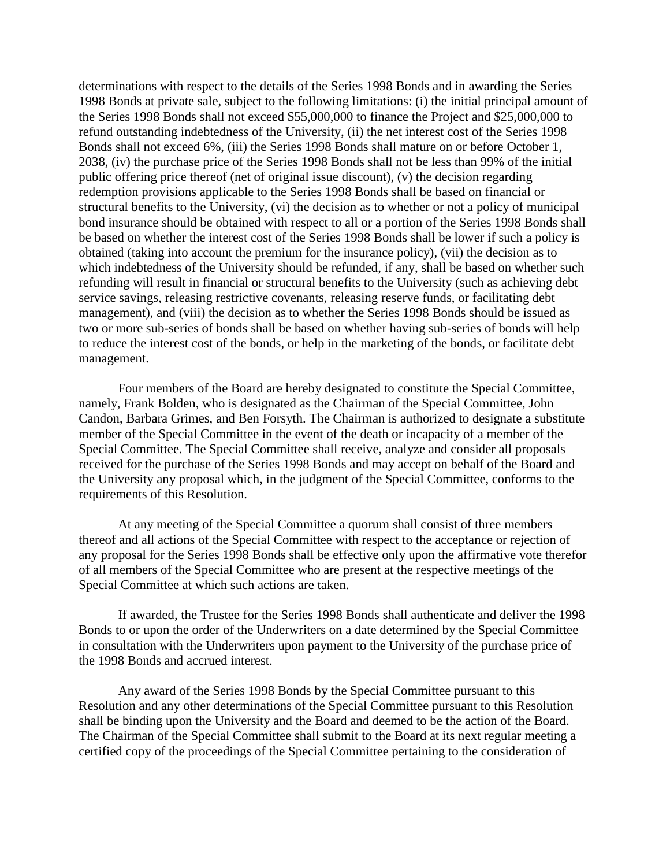determinations with respect to the details of the Series 1998 Bonds and in awarding the Series 1998 Bonds at private sale, subject to the following limitations: (i) the initial principal amount of the Series 1998 Bonds shall not exceed \$55,000,000 to finance the Project and \$25,000,000 to refund outstanding indebtedness of the University, (ii) the net interest cost of the Series 1998 Bonds shall not exceed 6%, (iii) the Series 1998 Bonds shall mature on or before October 1, 2038, (iv) the purchase price of the Series 1998 Bonds shall not be less than 99% of the initial public offering price thereof (net of original issue discount), (v) the decision regarding redemption provisions applicable to the Series 1998 Bonds shall be based on financial or structural benefits to the University, (vi) the decision as to whether or not a policy of municipal bond insurance should be obtained with respect to all or a portion of the Series 1998 Bonds shall be based on whether the interest cost of the Series 1998 Bonds shall be lower if such a policy is obtained (taking into account the premium for the insurance policy), (vii) the decision as to which indebtedness of the University should be refunded, if any, shall be based on whether such refunding will result in financial or structural benefits to the University (such as achieving debt service savings, releasing restrictive covenants, releasing reserve funds, or facilitating debt management), and (viii) the decision as to whether the Series 1998 Bonds should be issued as two or more sub-series of bonds shall be based on whether having sub-series of bonds will help to reduce the interest cost of the bonds, or help in the marketing of the bonds, or facilitate debt management.

Four members of the Board are hereby designated to constitute the Special Committee, namely, Frank Bolden, who is designated as the Chairman of the Special Committee, John Candon, Barbara Grimes, and Ben Forsyth. The Chairman is authorized to designate a substitute member of the Special Committee in the event of the death or incapacity of a member of the Special Committee. The Special Committee shall receive, analyze and consider all proposals received for the purchase of the Series 1998 Bonds and may accept on behalf of the Board and the University any proposal which, in the judgment of the Special Committee, conforms to the requirements of this Resolution.

At any meeting of the Special Committee a quorum shall consist of three members thereof and all actions of the Special Committee with respect to the acceptance or rejection of any proposal for the Series 1998 Bonds shall be effective only upon the affirmative vote therefor of all members of the Special Committee who are present at the respective meetings of the Special Committee at which such actions are taken.

If awarded, the Trustee for the Series 1998 Bonds shall authenticate and deliver the 1998 Bonds to or upon the order of the Underwriters on a date determined by the Special Committee in consultation with the Underwriters upon payment to the University of the purchase price of the 1998 Bonds and accrued interest.

Any award of the Series 1998 Bonds by the Special Committee pursuant to this Resolution and any other determinations of the Special Committee pursuant to this Resolution shall be binding upon the University and the Board and deemed to be the action of the Board. The Chairman of the Special Committee shall submit to the Board at its next regular meeting a certified copy of the proceedings of the Special Committee pertaining to the consideration of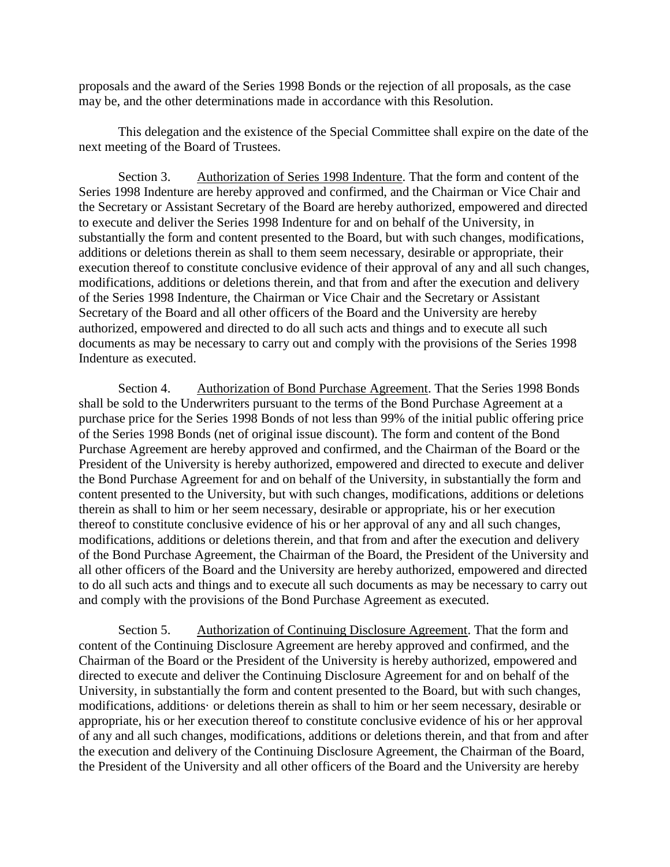proposals and the award of the Series 1998 Bonds or the rejection of all proposals, as the case may be, and the other determinations made in accordance with this Resolution.

This delegation and the existence of the Special Committee shall expire on the date of the next meeting of the Board of Trustees.

Section 3. Authorization of Series 1998 Indenture. That the form and content of the Series 1998 Indenture are hereby approved and confirmed, and the Chairman or Vice Chair and the Secretary or Assistant Secretary of the Board are hereby authorized, empowered and directed to execute and deliver the Series 1998 Indenture for and on behalf of the University, in substantially the form and content presented to the Board, but with such changes, modifications, additions or deletions therein as shall to them seem necessary, desirable or appropriate, their execution thereof to constitute conclusive evidence of their approval of any and all such changes, modifications, additions or deletions therein, and that from and after the execution and delivery of the Series 1998 Indenture, the Chairman or Vice Chair and the Secretary or Assistant Secretary of the Board and all other officers of the Board and the University are hereby authorized, empowered and directed to do all such acts and things and to execute all such documents as may be necessary to carry out and comply with the provisions of the Series 1998 Indenture as executed.

Section 4. Authorization of Bond Purchase Agreement. That the Series 1998 Bonds shall be sold to the Underwriters pursuant to the terms of the Bond Purchase Agreement at a purchase price for the Series 1998 Bonds of not less than 99% of the initial public offering price of the Series 1998 Bonds (net of original issue discount). The form and content of the Bond Purchase Agreement are hereby approved and confirmed, and the Chairman of the Board or the President of the University is hereby authorized, empowered and directed to execute and deliver the Bond Purchase Agreement for and on behalf of the University, in substantially the form and content presented to the University, but with such changes, modifications, additions or deletions therein as shall to him or her seem necessary, desirable or appropriate, his or her execution thereof to constitute conclusive evidence of his or her approval of any and all such changes, modifications, additions or deletions therein, and that from and after the execution and delivery of the Bond Purchase Agreement, the Chairman of the Board, the President of the University and all other officers of the Board and the University are hereby authorized, empowered and directed to do all such acts and things and to execute all such documents as may be necessary to carry out and comply with the provisions of the Bond Purchase Agreement as executed.

Section 5. Authorization of Continuing Disclosure Agreement. That the form and content of the Continuing Disclosure Agreement are hereby approved and confirmed, and the Chairman of the Board or the President of the University is hereby authorized, empowered and directed to execute and deliver the Continuing Disclosure Agreement for and on behalf of the University, in substantially the form and content presented to the Board, but with such changes, modifications, additions· or deletions therein as shall to him or her seem necessary, desirable or appropriate, his or her execution thereof to constitute conclusive evidence of his or her approval of any and all such changes, modifications, additions or deletions therein, and that from and after the execution and delivery of the Continuing Disclosure Agreement, the Chairman of the Board, the President of the University and all other officers of the Board and the University are hereby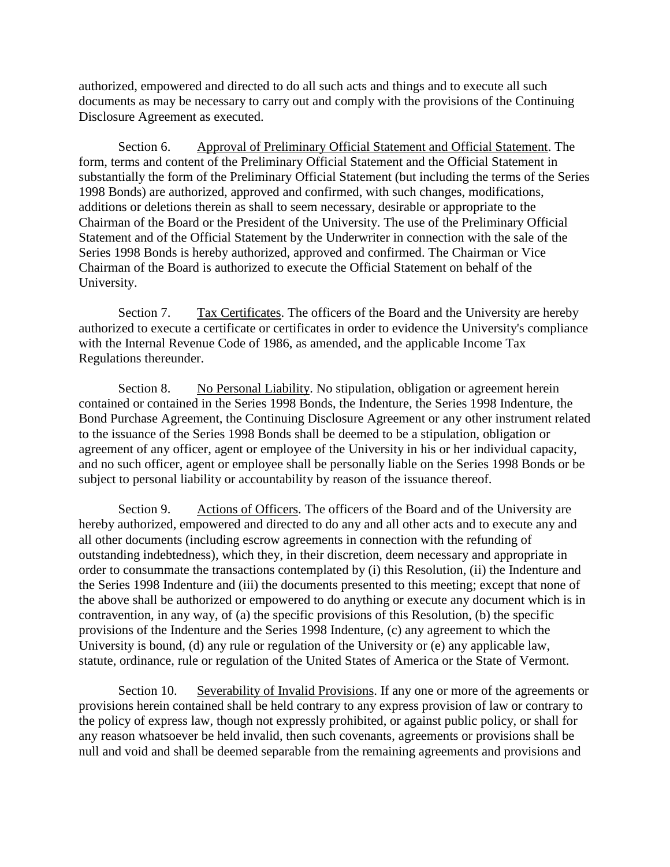authorized, empowered and directed to do all such acts and things and to execute all such documents as may be necessary to carry out and comply with the provisions of the Continuing Disclosure Agreement as executed.

Section 6. Approval of Preliminary Official Statement and Official Statement. The form, terms and content of the Preliminary Official Statement and the Official Statement in substantially the form of the Preliminary Official Statement (but including the terms of the Series 1998 Bonds) are authorized, approved and confirmed, with such changes, modifications, additions or deletions therein as shall to seem necessary, desirable or appropriate to the Chairman of the Board or the President of the University. The use of the Preliminary Official Statement and of the Official Statement by the Underwriter in connection with the sale of the Series 1998 Bonds is hereby authorized, approved and confirmed. The Chairman or Vice Chairman of the Board is authorized to execute the Official Statement on behalf of the University.

Section 7. Tax Certificates. The officers of the Board and the University are hereby authorized to execute a certificate or certificates in order to evidence the University's compliance with the Internal Revenue Code of 1986, as amended, and the applicable Income Tax Regulations thereunder.

Section 8. No Personal Liability. No stipulation, obligation or agreement herein contained or contained in the Series 1998 Bonds, the Indenture, the Series 1998 Indenture, the Bond Purchase Agreement, the Continuing Disclosure Agreement or any other instrument related to the issuance of the Series 1998 Bonds shall be deemed to be a stipulation, obligation or agreement of any officer, agent or employee of the University in his or her individual capacity, and no such officer, agent or employee shall be personally liable on the Series 1998 Bonds or be subject to personal liability or accountability by reason of the issuance thereof.

Section 9. Actions of Officers. The officers of the Board and of the University are hereby authorized, empowered and directed to do any and all other acts and to execute any and all other documents (including escrow agreements in connection with the refunding of outstanding indebtedness), which they, in their discretion, deem necessary and appropriate in order to consummate the transactions contemplated by (i) this Resolution, (ii) the Indenture and the Series 1998 Indenture and (iii) the documents presented to this meeting; except that none of the above shall be authorized or empowered to do anything or execute any document which is in contravention, in any way, of (a) the specific provisions of this Resolution, (b) the specific provisions of the Indenture and the Series 1998 Indenture, (c) any agreement to which the University is bound, (d) any rule or regulation of the University or (e) any applicable law, statute, ordinance, rule or regulation of the United States of America or the State of Vermont.

Section 10. Severability of Invalid Provisions. If any one or more of the agreements or provisions herein contained shall be held contrary to any express provision of law or contrary to the policy of express law, though not expressly prohibited, or against public policy, or shall for any reason whatsoever be held invalid, then such covenants, agreements or provisions shall be null and void and shall be deemed separable from the remaining agreements and provisions and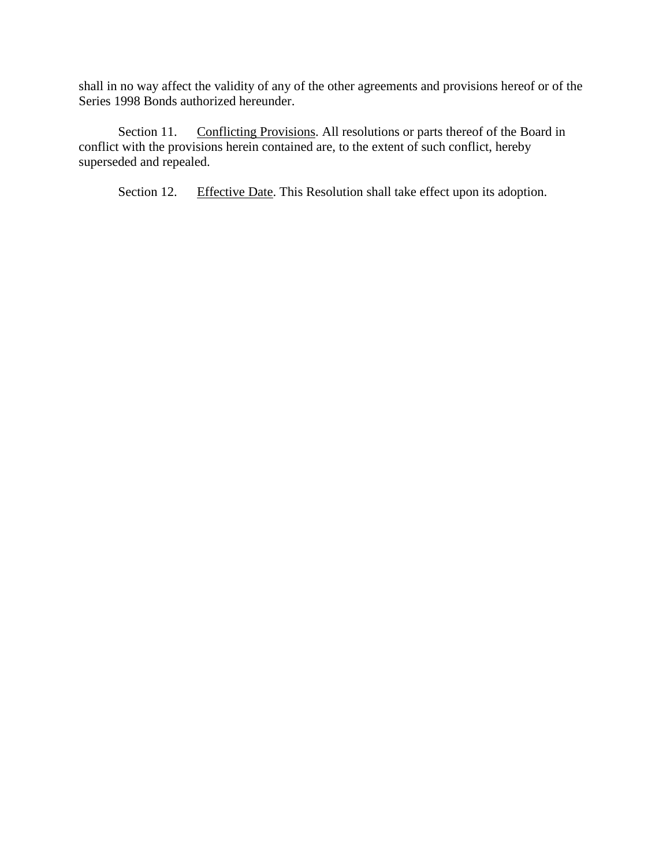shall in no way affect the validity of any of the other agreements and provisions hereof or of the Series 1998 Bonds authorized hereunder.

Section 11. Conflicting Provisions. All resolutions or parts thereof of the Board in conflict with the provisions herein contained are, to the extent of such conflict, hereby superseded and repealed.

Section 12. Effective Date. This Resolution shall take effect upon its adoption.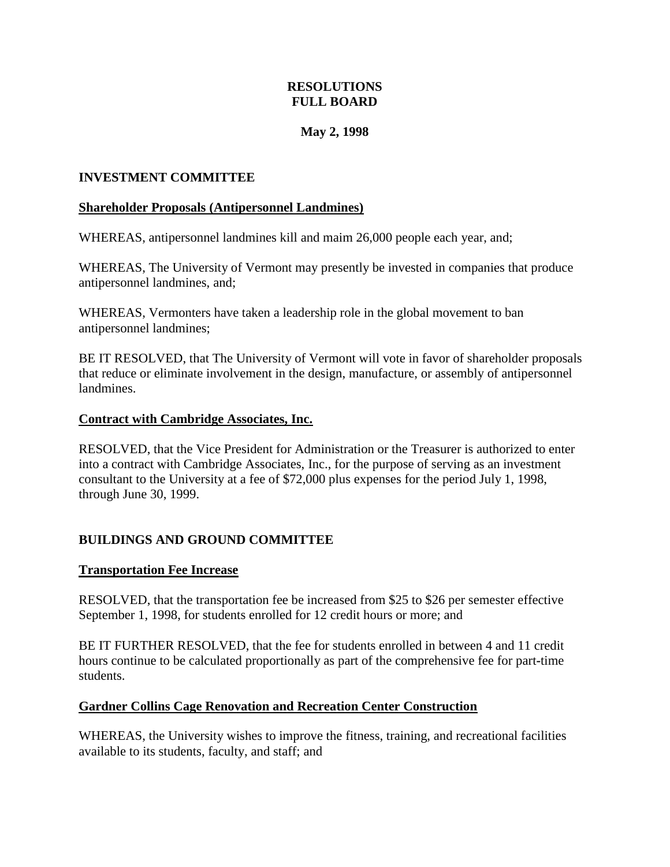### **RESOLUTIONS FULL BOARD**

### **May 2, 1998**

### <span id="page-23-0"></span>**INVESTMENT COMMITTEE**

### **Shareholder Proposals (Antipersonnel Landmines)**

WHEREAS, antipersonnel landmines kill and maim 26,000 people each year, and;

WHEREAS, The University of Vermont may presently be invested in companies that produce antipersonnel landmines, and;

WHEREAS, Vermonters have taken a leadership role in the global movement to ban antipersonnel landmines;

BE IT RESOLVED, that The University of Vermont will vote in favor of shareholder proposals that reduce or eliminate involvement in the design, manufacture, or assembly of antipersonnel landmines.

### **Contract with Cambridge Associates, Inc.**

RESOLVED, that the Vice President for Administration or the Treasurer is authorized to enter into a contract with Cambridge Associates, Inc., for the purpose of serving as an investment consultant to the University at a fee of \$72,000 plus expenses for the period July 1, 1998, through June 30, 1999.

# **BUILDINGS AND GROUND COMMITTEE**

### **Transportation Fee Increase**

RESOLVED, that the transportation fee be increased from \$25 to \$26 per semester effective September 1, 1998, for students enrolled for 12 credit hours or more; and

BE IT FURTHER RESOLVED, that the fee for students enrolled in between 4 and 11 credit hours continue to be calculated proportionally as part of the comprehensive fee for part**-**time students.

### **Gardner Collins Cage Renovation and Recreation Center Construction**

WHEREAS, the University wishes to improve the fitness, training, and recreational facilities available to its students, faculty, and staff; and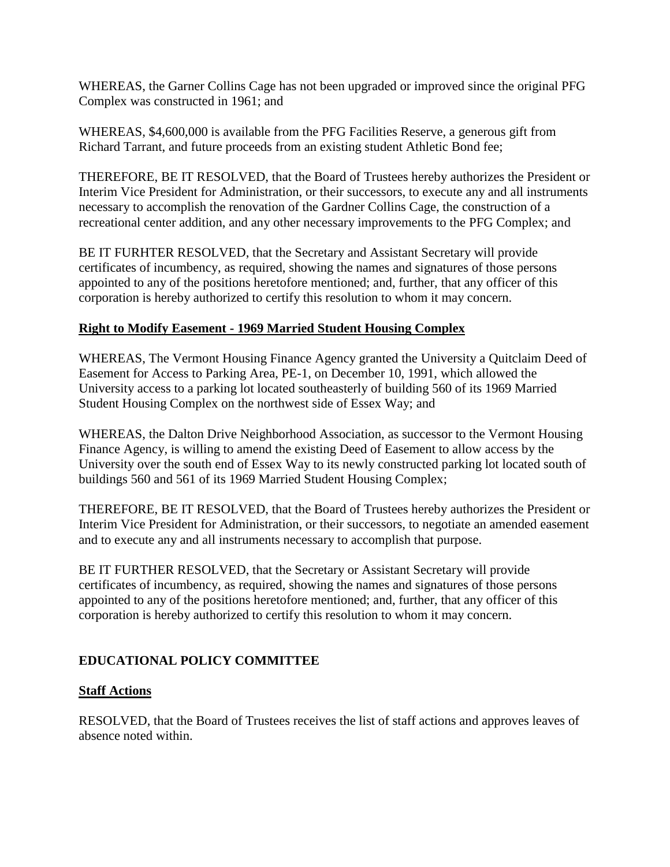<span id="page-24-0"></span>WHEREAS, the Garner Collins Cage has not been upgraded or improved since the original PFG Complex was constructed in 1961; and

WHEREAS, \$4,600,000 is available from the PFG Facilities Reserve, a generous gift from Richard Tarrant, and future proceeds from an existing student Athletic Bond fee;

THEREFORE, BE IT RESOLVED, that the Board of Trustees hereby authorizes the President or Interim Vice President for Administration, or their successors, to execute any and all instruments necessary to accomplish the renovation of the Gardner Collins Cage, the construction of a recreational center addition, and any other necessary improvements to the PFG Complex; and

BE IT FURHTER RESOLVED, that the Secretary and Assistant Secretary will provide certificates of incumbency, as required, showing the names and signatures of those persons appointed to any of the positions heretofore mentioned; and, further, that any officer of this corporation is hereby authorized to certify this resolution to whom it may concern.

# **Right to Modify Easement - 1969 Married Student Housing Complex**

WHEREAS, The Vermont Housing Finance Agency granted the University a Quitclaim Deed of Easement for Access to Parking Area, PE-1, on December 10, 1991, which allowed the University access to a parking lot located southeasterly of building 560 of its 1969 Married Student Housing Complex on the northwest side of Essex Way; and

WHEREAS, the Dalton Drive Neighborhood Association, as successor to the Vermont Housing Finance Agency, is willing to amend the existing Deed of Easement to allow access by the University over the south end of Essex Way to its newly constructed parking lot located south of buildings 560 and 561 of its 1969 Married Student Housing Complex;

THEREFORE, BE IT RESOLVED, that the Board of Trustees hereby authorizes the President or Interim Vice President for Administration, or their successors, to negotiate an amended easement and to execute any and all instruments necessary to accomplish that purpose.

BE IT FURTHER RESOLVED, that the Secretary or Assistant Secretary will provide certificates of incumbency, as required, showing the names and signatures of those persons appointed to any of the positions heretofore mentioned; and, further, that any officer of this corporation is hereby authorized to certify this resolution to whom it may concern.

# **EDUCATIONAL POLICY COMMITTEE**

### **Staff Actions**

RESOLVED, that the Board of Trustees receives the list of staff actions and approves leaves of absence noted within.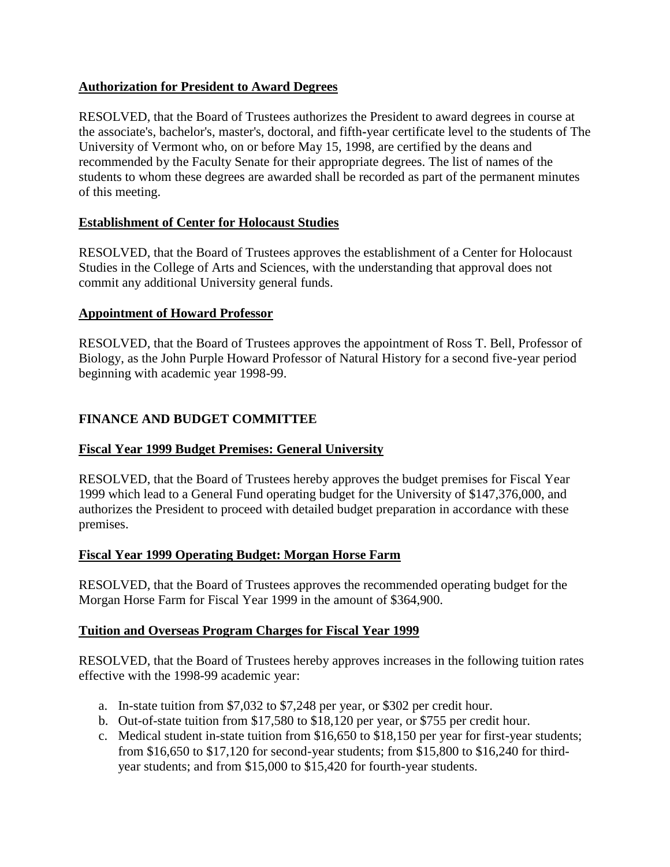### <span id="page-25-0"></span>**Authorization for President to Award Degrees**

RESOLVED, that the Board of Trustees authorizes the President to award degrees in course at the associate's, bachelor's, master's, doctoral, and fifth**-**year certificate level to the students of The University of Vermont who, on or before May 15, 1998, are certified by the deans and recommended by the Faculty Senate for their appropriate degrees. The list of names of the students to whom these degrees are awarded shall be recorded as part of the permanent minutes of this meeting.

# **Establishment of Center for Holocaust Studies**

RESOLVED, that the Board of Trustees approves the establishment of a Center for Holocaust Studies in the College of Arts and Sciences, with the understanding that approval does not commit any additional University general funds.

### **Appointment of Howard Professor**

RESOLVED, that the Board of Trustees approves the appointment of Ross T. Bell, Professor of Biology, as the John Purple Howard Professor of Natural History for a second five-year period beginning with academic year 1998-99.

# **FINANCE AND BUDGET COMMITTEE**

# **Fiscal Year 1999 Budget Premises: General University**

RESOLVED, that the Board of Trustees hereby approves the budget premises for Fiscal Year 1999 which lead to a General Fund operating budget for the University of \$147,376,000, and authorizes the President to proceed with detailed budget preparation in accordance with these premises.

### **Fiscal Year 1999 Operating Budget: Morgan Horse Farm**

RESOLVED, that the Board of Trustees approves the recommended operating budget for the Morgan Horse Farm for Fiscal Year 1999 in the amount of \$364,900.

### **Tuition and Overseas Program Charges for Fiscal Year 1999**

RESOLVED, that the Board of Trustees hereby approves increases in the following tuition rates effective with the 1998-99 academic year:

- a. In-state tuition from \$7,032 to \$7,248 per year, or \$302 per credit hour.
- b. Out-of-state tuition from \$17,580 to \$18,120 per year, or \$755 per credit hour.
- c. Medical student in-state tuition from \$16,650 to \$18,150 per year for first-year students; from \$16,650 to \$17,120 for second-year students; from \$15,800 to \$16,240 for thirdyear students; and from \$15,000 to \$15,420 for fourth-year students.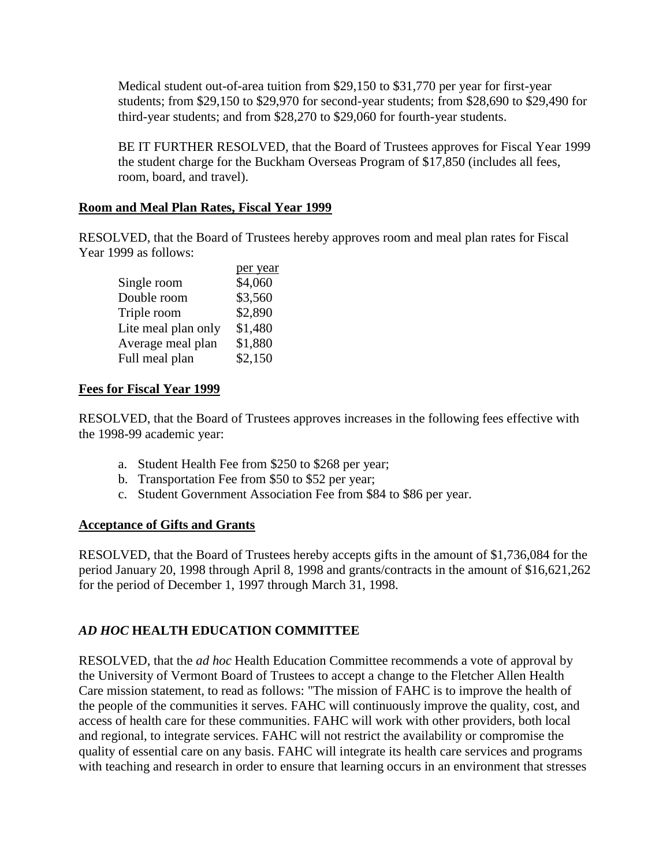<span id="page-26-0"></span>Medical student out-of-area tuition from \$29,150 to \$31,770 per year for first-year students; from \$29,150 to \$29,970 for second-year students; from \$28,690 to \$29,490 for third-year students; and from \$28,270 to \$29,060 for fourth-year students.

BE IT FURTHER RESOLVED, that the Board of Trustees approves for Fiscal Year 1999 the student charge for the Buckham Overseas Program of \$17,850 (includes all fees, room, board, and travel).

#### **Room and Meal Plan Rates, Fiscal Year 1999**

RESOLVED, that the Board of Trustees hereby approves room and meal plan rates for Fiscal Year 1999 as follows:

|                     | per year |
|---------------------|----------|
| Single room         | \$4,060  |
| Double room         | \$3,560  |
| Triple room         | \$2,890  |
| Lite meal plan only | \$1,480  |
| Average meal plan   | \$1,880  |
| Full meal plan      | \$2,150  |
|                     |          |

#### **Fees for Fiscal Year 1999**

RESOLVED, that the Board of Trustees approves increases in the following fees effective with the 1998-99 academic year:

a. Student Health Fee from \$250 to \$268 per year;

per year

- b. Transportation Fee from \$50 to \$52 per year;
- c. Student Government Association Fee from \$84 to \$86 per year.

#### **Acceptance of Gifts and Grants**

RESOLVED, that the Board of Trustees hereby accepts gifts in the amount of \$1,736,084 for the period January 20, 1998 through April 8, 1998 and grants/contracts in the amount of \$16,621,262 for the period of December 1, 1997 through March 31, 1998.

### *AD HOC* **HEALTH EDUCATION COMMITTEE**

RESOLVED, that the *ad hoc* Health Education Committee recommends a vote of approval by the University of Vermont Board of Trustees to accept a change to the Fletcher Allen Health Care mission statement, to read as follows: "The mission of FAHC is to improve the health of the people of the communities it serves. FAHC will continuously improve the quality, cost, and access of health care for these communities. FAHC will work with other providers, both local and regional, to integrate services. FAHC will not restrict the availability or compromise the quality of essential care on any basis. FAHC will integrate its health care services and programs with teaching and research in order to ensure that learning occurs in an environment that stresses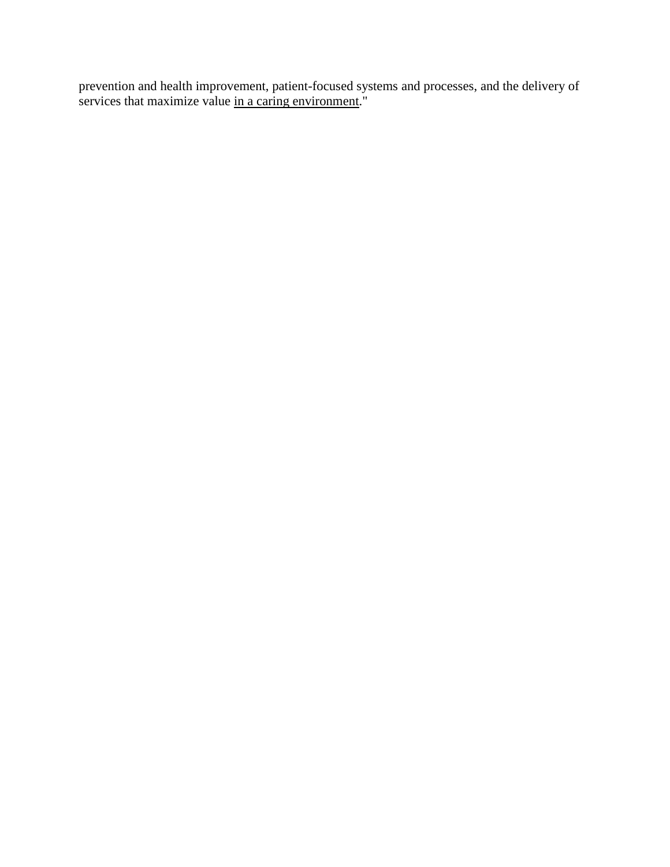prevention and health improvement, patient-focused systems and processes, and the delivery of services that maximize value in a caring environment."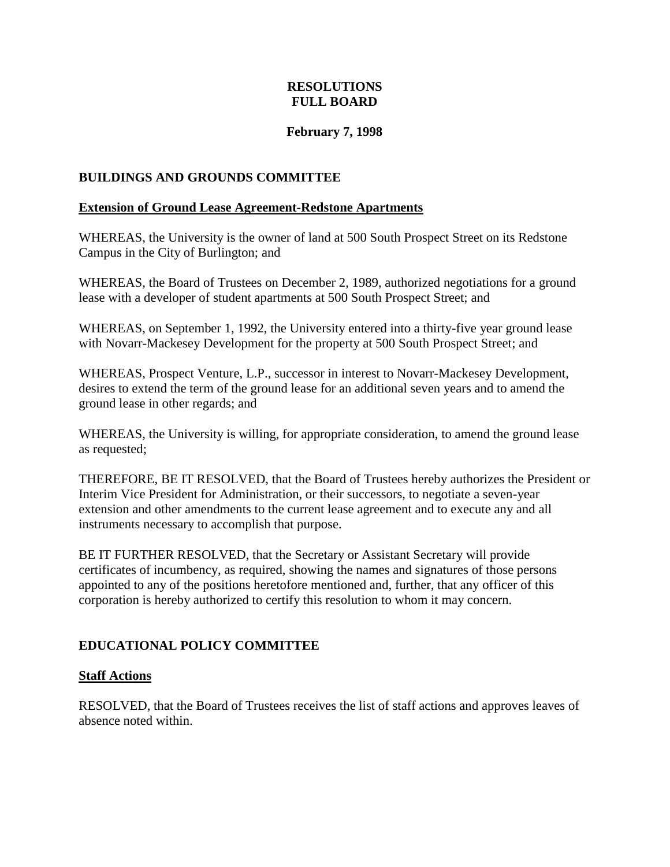### **RESOLUTIONS FULL BOARD**

### **February 7, 1998**

#### <span id="page-28-0"></span>**BUILDINGS AND GROUNDS COMMITTEE**

#### **Extension of Ground Lease Agreement-Redstone Apartments**

WHEREAS, the University is the owner of land at 500 South Prospect Street on its Redstone Campus in the City of Burlington; and

WHEREAS, the Board of Trustees on December 2, 1989, authorized negotiations for a ground lease with a developer of student apartments at 500 South Prospect Street; and

WHEREAS, on September 1, 1992, the University entered into a thirty**-**five year ground lease with Novarr-Mackesey Development for the property at 500 South Prospect Street; and

WHEREAS, Prospect Venture, L.P., successor in interest to Novarr-Mackesey Development, desires to extend the term of the ground lease for an additional seven years and to amend the ground lease in other regards; and

WHEREAS, the University is willing, for appropriate consideration, to amend the ground lease as requested;

THEREFORE, BE IT RESOLVED, that the Board of Trustees hereby authorizes the President or Interim Vice President for Administration, or their successors, to negotiate a seven**-**year extension and other amendments to the current lease agreement and to execute any and all instruments necessary to accomplish that purpose.

BE IT FURTHER RESOLVED, that the Secretary or Assistant Secretary will provide certificates of incumbency, as required, showing the names and signatures of those persons appointed to any of the positions heretofore mentioned and, further, that any officer of this corporation is hereby authorized to certify this resolution to whom it may concern.

#### **EDUCATIONAL POLICY COMMITTEE**

#### **Staff Actions**

RESOLVED, that the Board of Trustees receives the list of staff actions and approves leaves of absence noted within.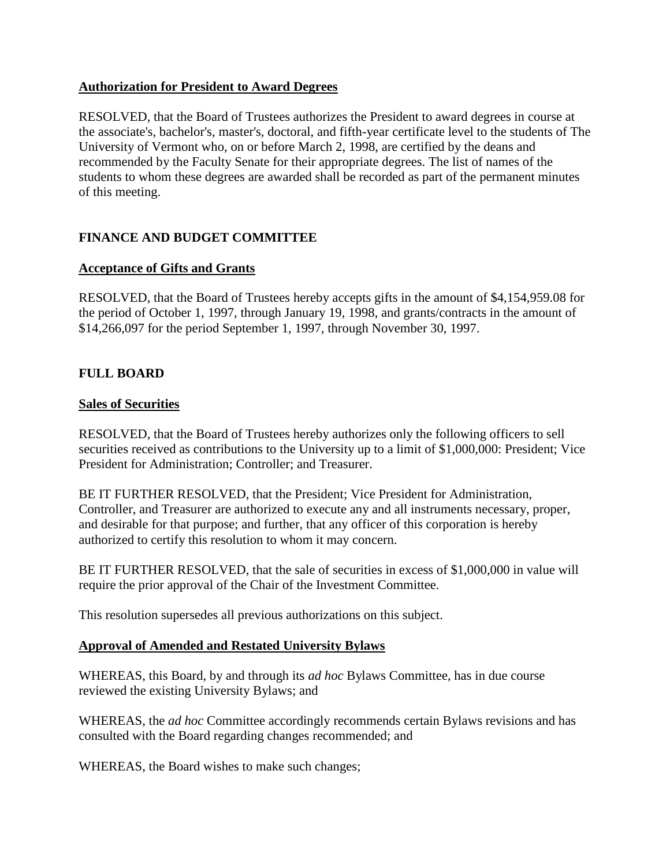#### <span id="page-29-0"></span>**Authorization for President to Award Degrees**

RESOLVED, that the Board of Trustees authorizes the President to award degrees in course at the associate's, bachelor's, master's, doctoral, and fifth-year certificate level to the students of The University of Vermont who, on or before March 2, 1998, are certified by the deans and recommended by the Faculty Senate for their appropriate degrees. The list of names of the students to whom these degrees are awarded shall be recorded as part of the permanent minutes of this meeting.

# **FINANCE AND BUDGET COMMITTEE**

#### **Acceptance of Gifts and Grants**

RESOLVED, that the Board of Trustees hereby accepts gifts in the amount of \$4,154,959.08 for the period of October 1, 1997, through January 19, 1998, and grants/contracts in the amount of \$14,266,097 for the period September 1, 1997, through November 30, 1997.

### **FULL BOARD**

#### **Sales of Securities**

RESOLVED, that the Board of Trustees hereby authorizes only the following officers to sell securities received as contributions to the University up to a limit of \$1,000,000: President; Vice President for Administration; Controller; and Treasurer.

BE IT FURTHER RESOLVED, that the President; Vice President for Administration, Controller, and Treasurer are authorized to execute any and all instruments necessary, proper, and desirable for that purpose; and further, that any officer of this corporation is hereby authorized to certify this resolution to whom it may concern.

BE IT FURTHER RESOLVED, that the sale of securities in excess of \$1,000,000 in value will require the prior approval of the Chair of the Investment Committee.

This resolution supersedes all previous authorizations on this subject.

#### **Approval of Amended and Restated University Bylaws**

WHEREAS, this Board, by and through its *ad hoc* Bylaws Committee, has in due course reviewed the existing University Bylaws; and

WHEREAS, the *ad hoc* Committee accordingly recommends certain Bylaws revisions and has consulted with the Board regarding changes recommended; and

WHEREAS, the Board wishes to make such changes;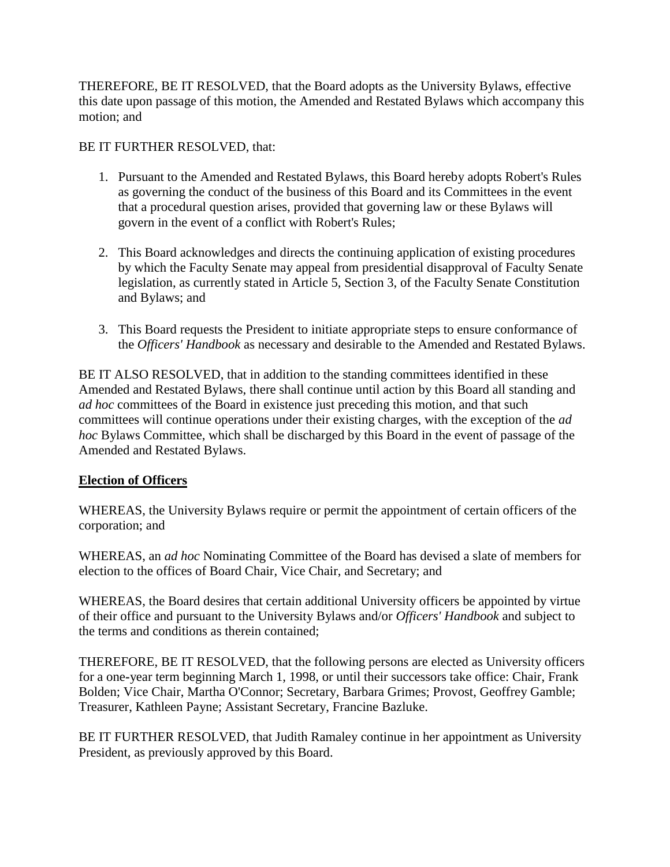<span id="page-30-0"></span>THEREFORE, BE IT RESOLVED, that the Board adopts as the University Bylaws, effective this date upon passage of this motion, the Amended and Restated Bylaws which accompany this motion; and

### BE IT FURTHER RESOLVED, that:

- 1. Pursuant to the Amended and Restated Bylaws, this Board hereby adopts Robert's Rules as governing the conduct of the business of this Board and its Committees in the event that a procedural question arises, provided that governing law or these Bylaws will govern in the event of a conflict with Robert's Rules;
- 2. This Board acknowledges and directs the continuing application of existing procedures by which the Faculty Senate may appeal from presidential disapproval of Faculty Senate legislation, as currently stated in Article 5, Section 3, of the Faculty Senate Constitution and Bylaws; and
- 3. This Board requests the President to initiate appropriate steps to ensure conformance of the *Officers' Handbook* as necessary and desirable to the Amended and Restated Bylaws.

BE IT ALSO RESOLVED, that in addition to the standing committees identified in these Amended and Restated Bylaws, there shall continue until action by this Board all standing and *ad hoc* committees of the Board in existence just preceding this motion, and that such committees will continue operations under their existing charges, with the exception of the *ad hoc* Bylaws Committee, which shall be discharged by this Board in the event of passage of the Amended and Restated Bylaws.

### **Election of Officers**

WHEREAS, the University Bylaws require or permit the appointment of certain officers of the corporation; and

WHEREAS, an *ad hoc* Nominating Committee of the Board has devised a slate of members for election to the offices of Board Chair, Vice Chair, and Secretary; and

WHEREAS, the Board desires that certain additional University officers be appointed by virtue of their office and pursuant to the University Bylaws and/or *Officers' Handbook* and subject to the terms and conditions as therein contained;

THEREFORE, BE IT RESOLVED, that the following persons are elected as University officers for a one**-**year term beginning March 1, 1998, or until their successors take office: Chair, Frank Bolden; Vice Chair, Martha O'Connor; Secretary, Barbara Grimes; Provost, Geoffrey Gamble; Treasurer, Kathleen Payne; Assistant Secretary, Francine Bazluke.

BE IT FURTHER RESOLVED, that Judith Ramaley continue in her appointment as University President, as previously approved by this Board.